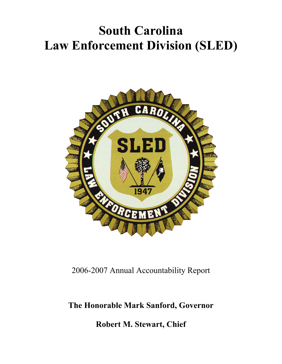# **South Carolina Law Enforcement Division (SLED)**



2006-2007 Annual Accountability Report

**The Honorable Mark Sanford, Governor** 

**Robert M. Stewart, Chief**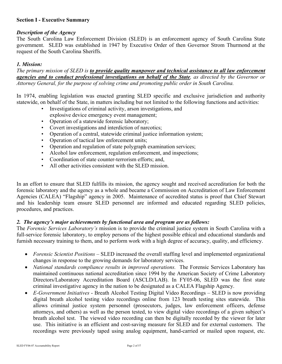#### **Section I - Executive Summary**

#### *Description of the Agency*

The South Carolina Law Enforcement Division (SLED) is an enforcement agency of South Carolina State government. SLED was established in 1947 by Executive Order of then Governor Strom Thurmond at the request of the South Carolina Sheriffs.

# *1. Mission:*

*The primary mission of SLED is to provide quality manpower and technical assistance to all law enforcement agencies and to conduct professional investigations on behalf of the State, as directed by the Governor or Attorney General, for the purpose of solving crime and promoting public order in South Carolina.* 

In 1974, enabling legislation was enacted granting SLED specific and exclusive jurisdiction and authority statewide, on behalf of the State, in matters including but not limited to the following functions and activities:

- Investigations of criminal activity, arson investigations, and explosive device emergency event management;
- Operation of a statewide forensic laboratory;
- Covert investigations and interdiction of narcotics;
- Operation of a central, statewide criminal justice information system;
- Operation of tactical law enforcement units;
- Operation and regulation of state polygraph examination services;
- Alcohol law enforcement, regulation enforcement, and inspections;
- Coordination of state counter-terrorism efforts; and,
- All other activities consistent with the SLED mission.

In an effort to ensure that SLED fulfills its mission, the agency sought and received accreditation for both the forensic laboratory and the agency as a whole and became a Commission on Accreditation of Law Enforcement Agencies (CALEA) "Flagship" agency in 2005. Maintenance of accredited status is proof that Chief Stewart and his leadership team ensure SLED personnel are informed and educated regarding SLED policies, procedures, and practices.

# *2. The agency's major achievements by functional area and program are as follows:*

The *Forensic Services Laboratory's* mission is to provide the criminal justice system in South Carolina with a full-service forensic laboratory, to employ persons of the highest possible ethical and educational standards and furnish necessary training to them, and to perform work with a high degree of accuracy, quality, and efficiency.

- *Forensic Scientist Positions –* SLED increased the overall staffing level and implemented organizational changes in response to the growing demands for laboratory services.
- *National standards compliance results in improved operations.* The Forensic Services Laboratory has maintained continuous national accreditation since 1994 by the American Society of Crime Laboratory Directors/Laboratory Accreditation Board (ASCLD/LAB). In FY05-06, SLED was the first state criminal investigative agency in the nation to be designated as a CALEA Flagship Agency.
- *E-Government Initiatives* Breath Alcohol Testing Digital Video Recordings SLED is now providing digital breath alcohol testing video recordings online from 123 breath testing sites statewide. This allows criminal justice system personnel (prosecutors, judges, law enforcement officers, defense attorneys, and others) as well as the person tested, to view digital video recordings of a given subject's breath alcohol test. The viewed video recording can then be digitally recorded by the viewer for later use. This initiative is an efficient and cost-saving measure for SLED and for external customers. The recordings were previously taped using analog equipment, hand-carried or mailed upon request, etc.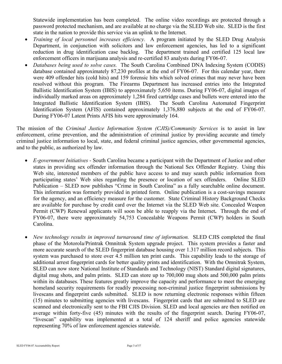Statewide implementation has been completed. The online video recordings are protected through a password protected mechanism, and are available at no charge via the SLED Web site. SLED is the first state in the nation to provide this service via an uplink to the Internet.

- *Training of local personnel increases efficiency.* A program initiated by the SLED Drug Analysis Department, in conjunction with solicitors and law enforcement agencies, has led to a significant reduction in drug identification case backlog. The department trained and certified 125 local law enforcement officers in marijuana analysis and re-certified 83 analysts during FY06-07.
- *Databases being used to solve cases.* The South Carolina Combined DNA Indexing System (CODIS) database contained approximately 87,230 profiles at the end of FY06-07. For this calendar year, there were 409 offender hits (cold hits) and 159 forensic hits which solved crimes that may never have been resolved without this program. The Firearms Department has increased entries into the Integrated Ballistic Identification System (IBIS) to approximately 5,650 items. During FY06-07, digital images of individually marked areas on approximately 1,284 fired cartridge cases and bullets were entered into the Integrated Ballistic Identification System (IBIS). The South Carolina Automated Fingerprint Identification System (AFIS) contained approximately 1,376,880 subjects at the end of FY06-07. During FY06-07 Latent Prints AFIS hits were approximately 164.

 The mission of the *Criminal Justice Information System (CJIS)/Community Services* is to assist in law enforcement, crime prevention, and the administration of criminal justice by providing accurate and timely criminal justice information to local, state, and federal criminal justice agencies, other governmental agencies, and to the public, as authorized by law.

- *E-government Initiatives* South Carolina became a participant with the Department of Justice and other states in providing sex offender information through the National Sex Offender Registry. Using this Web site, interested members of the public have access to and may search public information from participating states' Web sites regarding the presence or location of sex offenders. Online SLED Publication – SLED now publishes "Crime in South Carolina" as a fully searchable online document. This information was formerly provided in printed form. Online publication is a cost-savings measure for the agency, and an efficiency measure for the customer. State Criminal History Background Checks are available for purchase by credit card over the Internet via the SLED Web site. Concealed Weapon Permit (CWP) Renewal applicants will soon be able to reapply via the Internet**.** Through the end of FY06-07, there were approximately 54,753 Concealable Weapons Permit (CWP) holders in South Carolina.
- *New technology results in improved turnaround time of information.* SLED CJIS completed the final phase of the Motorola/Printrak Omnitrak System upgrade project. This system provides a faster and more accurate search of the SLED fingerprint database housing over 1.317 million record subjects. This system was purchased to store over 4.5 million ten print cards. This capability leads to the storage of additional arrest fingerprint cards for better quality prints and identification. With the Omnitrak System, SLED can now store National Institute of Standards and Technology (NIST) Standard digital signatures, digital mug shots, and palm prints. SLED can store up to 700,000 mug shots and 500,000 palm prints within its databases. These features greatly improve the capacity and performance to meet the emerging homeland security requirements for readily processing non-criminal justice fingerprint submissions by livescans and fingerprint cards submitted. SLED is now returning electronic responses within fifteen (15) minutes to submitting agencies with livescans. Fingerprint cards that are submitted to SLED are scanned and electronically sent to the FBI CJIS Division. SLED and local agencies are then notified on average within forty-five (45) minutes with the results of the fingerprint search. During FY06-07, "livescan" capability was implemented at a total of 124 sheriff and police agencies statewide representing 70% of law enforcement agencies statewide.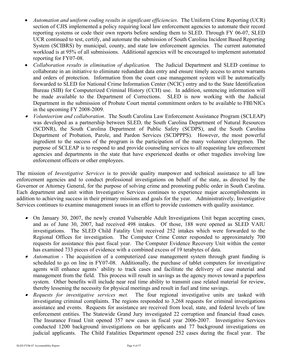- *Automation and uniform coding results in significant efficiencies.* The Uniform Crime Reporting (UCR) section of CJIS implemented a policy requiring local law enforcement agencies to automate their record reporting systems or code their own reports before sending them to SLED. Through FY 06-07, SLED UCR continued to test, certify, and automate the submission of South Carolina Incident Based Reporting System (SCIBRS) by municipal, county, and state law enforcement agencies. The current automated workload is at 95% of all submissions. Additional agencies will be encouraged to implement automated reporting for FY07-08.
- *Collaboration results in elimination of duplication.* The Judicial Department and SLED continue to collaborate in an initiative to eliminate redundant data entry and ensure timely access to arrest warrants and orders of protection. Information from the court case management system will be automatically forwarded to SLED for National Crime Information Center (NCIC) entry and to the State Identification Bureau (SIB) for Computerized Criminal History (CCH) use. In addition, sentencing information will be made available to the Department of Corrections. SLED is now working with the Judicial Department in the submission of Probate Court mental commitment orders to be available to FBI/NICs in the upcoming FY 2008-2009.
- • *Volunteerism and collaboration*. The South Carolina Law Enforcement Assistance Program (SCLEAP) was developed as a partnership between SLED, the South Carolina Department of Natural Resources (SCDNR), the South Carolina Department of Public Safety (SCDPS), and the South Carolina Department of Probation, Parole, and Pardon Services (SCDPPPS). However, the most powerful ingredient to the success of the program is the participation of the many volunteer clergymen. The purpose of SCLEAP is to respond to and provide counseling services to all requesting law enforcement agencies and departments in the state that have experienced deaths or other tragedies involving law enforcement officers or other employees.

The mission of *Investigative Services* is to provide quality manpower and technical assistance to all law enforcement agencies and to conduct professional investigations on behalf of the state, as directed by the Governor or Attorney General, for the purpose of solving crime and promoting public order in South Carolina. Each department and unit within Investigative Services continues to experience major accomplishments in addition to achieving success in their primary missions and goals for the year. Administratively, Investigative Services continues to examine management issues in an effort to provide customers with quality assistance.

- On January 30, 2007, the newly created Vulnerable Adult Investigations Unit began accepting cases, and as of June 30, 2007, had received 498 intakes. Of those, 188 were opened as SLED VAIU investigations. The SLED Child Fatality Unit received 252 intakes which were forwarded to the Regional Offices for investigation. The Computer Crime Center responded to approximately 700 requests for assistance this past fiscal year. The Computer Evidence Recovery Unit within the center has examined 733 pieces of evidence with a combined excess of 19 terabytes of data.
- • *Automation*  The acquisition of a computerized case management system through grant funding is scheduled to go on line in FY07-08. Additionally, the purchase of tablet computers for investigative agents will enhance agents' ability to track cases and facilitate the delivery of case material and management from the field. This process will result in savings as the agency moves toward a paperless system. Other benefits will include near real time ability to transmit case related material for review, thereby lessening the necessity for physical meetings and result in fuel and time savings.
- *Requests for investigative services met.* The four regional investigative units are tasked with investigating criminal complaints. The regions responded to 3,268 requests for criminal investigations assistance and events. Requests for assistance are received from local, state, and federal levels of law enforcement entities. The Statewide Grand Jury investigated 22 corruption and financial fraud cases. The Insurance Fraud Unit opened 357 new cases in fiscal year 2006-2007. Investigative Services conducted 1200 background investigations on bar applicants and 77 background investigations on judicial applicants. The Child Fatalities Department opened 252 cases during the fiscal year. The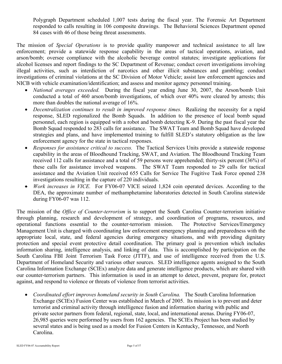Polygraph Department scheduled 1,007 tests during the fiscal year. The Forensic Art Department responded to calls resulting in 106 composite drawings. The Behavioral Sciences Department opened 84 cases with 46 of those being threat assessments.

The mission of *Special Operations* is to provide quality manpower and technical assistance to all law enforcement; provide a statewide response capability in the areas of tactical operations, aviation, and arson/bomb; oversee compliance with the alcoholic beverage control statutes; investigate applications for alcohol licenses and report findings to the SC Department of Revenue; conduct covert investigations involving illegal activities, such as interdiction of narcotics and other illicit substances and gambling; conduct investigations of criminal violations at the SC Division of Motor Vehicle; assist law enforcement agencies and NICB with vehicle examination/identification; and assess and monitor agency personnel training.

- *National averages exceeded.* During the fiscal year ending June 30, 2007, the Arson/bomb Unit conducted a total of 460 arson/bomb investigations, of which over 40% were cleared by arrests; this more than doubles the national average of 16%.
- • *Decentralization continues to result in improved response times.* Realizing the necessity for a rapid response, SLED regionalized the Bomb Squads. In addition to the presence of local bomb squad personnel, each region is equipped with a robot and bomb detecting K-9. During the past fiscal year the Bomb Squad responded to 283 calls for assistance. The SWAT Team and Bomb Squad have developed strategies and plans, and have implemented training to fulfill SLED's statutory obligation as the law enforcement agency for the state in tactical responses.
- • *Responses for assistance critical to success.* The Tactical Services Units provide a statewide response capability in the areas of Bloodhound Tracking, SWAT, and Aviation. The Bloodhound Tracking Team received 112 calls for assistance and a total of 59 persons were apprehended; thirty-six percent (36%) of these calls for assistance involved weapons. The SWAT Team responded to 29 calls for tactical assistance and the Aviation Unit received 655 Calls for Service The Fugitive Task Force opened 238 investigations resulting in the capture of 220 individuals.
- *Work increases in VICE.* For FY06-07 VICE seized 1,824 coin operated devices. According to the DEA, the approximate number of methamphetamine laboratories detected in South Carolina statewide during FY06-07 was 112.

The mission of the *Office of Counter-terrorism* is to support the South Carolina Counter-terrorism initiative through planning, research and development of strategy, and coordination of programs, resources, and operational functions essential to the counter-terrorism mission. The Protective Services/Emergency Management Unit is charged with coordinating law enforcement emergency planning and preparedness with the appropriate local, state, and federal agencies during emergency situations, and with providing dignitary protection and special event protective detail coordination. The primary goal is prevention which includes information sharing, intelligence analysis, and linking of data. This is accomplished by participation on the South Carolina FBI Joint Terrorism Task Force (JTTF), and use of intelligence received from the U.S. Department of Homeland Security and various other sources. SLED intelligence agents assigned to the South Carolina Information Exchange (SCIEx) analyze data and generate intelligence products, which are shared with our counter-terrorism partners. This information is used in an attempt to detect, prevent, prepare for, protect against, and respond to violence or threats of violence from terrorist activities.

• *Coordinated effort improves homeland security in South Carolina.* The South Carolina Information Exchange (SCIEx) Fusion Center was established in March of 2005. Its mission is to prevent and deter terrorist and criminal activity through intelligence fusion and information sharing with public and private sector partners from federal, regional, state, local, and international arenas. During FY06-07, 26,985 queries were performed by users from 162 agencies. The SCIEx Project has been studied by several states and is being used as a model for Fusion Centers in Kentucky, Tennessee, and North Carolina.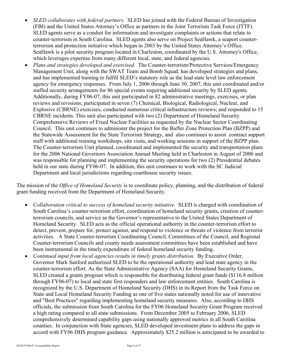- *SLED collaborates with federal partners.* SLED has joined with the Federal Bureau of Investigation (FBI) and the United States Attorney's Office as partners in the Joint Terrorism Task Force (JTTF). SLED agents serve as a conduit for information and investigate complaints or actions that relate to counter-terrorism in South Carolina. SLED agents also serve on Project SeaHawk, a seaport counterterrorism and protection initiative which began in 2003 by the United States Attorney's Office. SeaHawk is a pilot security program located in Charleston, coordinated by the U.S. Attorney's Office, which leverages expertise from many different local, state, and federal agencies.
- *Plans and strategies developed and exercised.* The Counter-terrorism/Protective Services/Emergency Management Unit, along with the SWAT Team and Bomb Squad, has developed strategies and plans, and has implemented training to fulfill SLED's statutory role as the lead state level law enforcement agency for emergency responses. From July 1, 2006 through June 30, 2007, this unit coordinated and/or staffed security arrangements for 86 special events requiring additional security by SLED agents. Additionally, during FY06-07, this unit participated in 82 administrative meetings, exercises, or plan reviews and revisions; participated in seven (7) Chemical, Biological, Radiological, Nuclear, and Explosive (CBRNE) exercises; conducted numerous critical infrastructure reviews; and responded to 15 CBRNE incidents. This unit also participated with two (2) Department of Homeland Security Comprehensive Reviews of Fixed Nuclear Facilities as requested by the Nuclear Sector Coordinating Council. This unit continues to administer the project for the Buffer Zone Protection Plan (BZPP) and the Statewide Assessment for the State Terrorism Strategy, and also continues to assist contract support staff with additional training workshops, site visits, and working sessions in support of the BZPP plan. The Counter-terrorism Unit planned, coordinated and implemented the security and transportation plans for the 2006 National Governors Association Annual Meeting held in Charleston in August of 2006 and was responsible for planning and implementing the security operations for two (2) Presidential debates held in our state during FY06-07. In addition, this unit continues to work with the SC Judicial Department and local jurisdictions regarding courthouse security issues.

The mission of the *Office of Homeland Security* is to coordinate policy, planning, and the distribution of federal grant funding received from the Department of Homeland Security.

- *Collaboration critical to success of homeland security initiative.* SLED is charged with coordination of South Carolina's counter-terrorism effort, coordination of homeland security grants, creation of counterterrorism councils, and service as the Governor's representative to the United States Department of Homeland Security. SLED acts as the official operational authority in the counter-terrorism effort to detect, prevent, prepare for, protect against, and respond to violence or threats of violence from terrorist activities. A State Counter-terrorism Coordinating Council, Committees of the Council, and Regional Counter-terrorism Councils and county needs assessment committees have been established and have been instrumental in the timely expenditure of federal homeland security funding.
- *Continued input from local agencies results in timely grants distribution.* By Executive Order, Governor Mark Sanford authorized SLED to be the operational authority and lead state agency in the counter-terrorism effort. As the State Administrative Agency (SAA) for Homeland Security Grants, SLED created a grants program which is responsible for distributing federal grant funds (\$116.8 million through FY06-07) to local and state first responders and law enforcement entities. South Carolina is recognized by the U.S. Department of Homeland Security (DHS) in its Report from the Task Force on State and Local Homeland Security Funding as one of five states nationally noted for use of innovative and "Best Practices" regarding implementing homeland security measures. Also, according to DHS officials, the submission from South Carolina for the FY06 Homeland Security Grant Program received a high rating compared to all state submissions. From December 2005 to February 2006, SLED comprehensively determined capability gaps using nationally approved metrics in all South Carolina counties. In conjunction with State agencies, SLED developed investment plans to address the gaps in accord with FY06 DHS program guidance. Approximately \$25.2 million is anticipated to be awarded to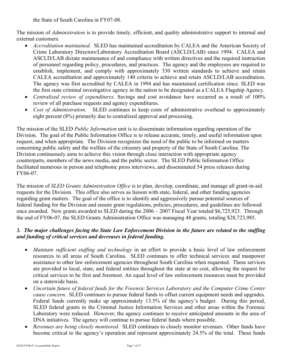the State of South Carolina in FY07-08.

The mission of *Administration* is to provide timely, efficient, and quality administrative support to internal and external customers.

- *Accreditation maintained.* SLED has maintained accreditation by CALEA and the American Society of Crime Laboratory Directors/Laboratory Accreditation Board (ASCLD/LAB) since 1994. CALEA and ASCLD/LAB dictate maintenance of and compliance with written directives and the required instruction of personnel regarding policy, procedures, and practices. The agency and the employees are required to establish, implement, and comply with approximately 330 written standards to achieve and retain CALEA accreditation and approximately 140 criteria to achieve and retain ASCLD/LAB accreditation. The agency was first accredited by CALEA in 1994 and has maintained certification since. SLED was the first state criminal investigative agency in the nation to be designated as a CALEA Flagship Agency.
- *Centralized review of expenditures*. Savings and cost avoidance have occurred as a result of 100% review of all purchase requests and agency expenditures.
- *Cost of Administration.* SLED continues to keep costs of administrative overhead to approximately eight percent (8%) primarily due to centralized approval and processing.

The mission of the SLED *Public Information* unit is to disseminate information regarding operation of the Division. The goal of the Public Information Office is to release accurate, timely, and useful information upon request, and when appropriate. The Division recognizes the need of the public to be informed on matters concerning public safety and the welfare of the citizenry and property of the State of South Carolina. The Division continuously aims to achieve this vision through close interaction with appropriate agency counterparts, members of the news media, and the public sector. The SLED Public Information Office facilitated numerous in person and telephonic press interviews, and disseminated 54 press releases during FY06-07.

The mission of *SLED Grants Administration Office* is to plan, develop, coordinate, and manage all grant-in-aid requests for the Division. This office also serves as liaison with state, federal, and other funding agencies regarding grant matters. The goal of the office is to identify and aggressively pursue potential sources of federal funding for the Division and ensure grant regulations, policies, procedures, and guidelines are followed once awarded. New grants awarded to SLED during the 2006 – 2007 Fiscal Year totaled \$6,725,923. Through the end of FY06-07, the SLED Grants Administration Office was managing 48 grants, totaling \$28,723,985.

# *3. The major challenges facing the State Law Enforcement Division in the future are related to the staffing and funding of critical services and decreases in federal funding.*

- *Maintain sufficient staffing and technology* in an effort to provide a basic level of law enforcement resources to all areas of South Carolina. SLED continues to offer technical services and manpower assistance to other law enforcement agencies throughout South Carolina when requested. These services are provided to local, state, and federal entities throughout the state at no cost, allowing the request for critical services to be first and foremost. An equal level of law enforcement resources must be provided on a statewide basis.
- *Uncertain future of federal funds for the Forensic Services Laboratory and the Computer Crime Center cause concern.* SLED continues to pursue federal funds to offset current equipment needs and upgrades*.* Federal funds currently make up approximately 13.5% of the agency's budget. During this period, SLED federal grants in the Criminal Justice Information Services and other areas within the Forensic Laboratory were reduced. However, the agency continues to receive anticipated amounts in the area of DNA initiatives. The agency will continue to pursue federal funds where possible.
- *Revenues are being closely monitored.* SLED continues to closely monitor revenues. Other funds have become critical to the agency's operation and represent approximately 24.5% of the total. These funds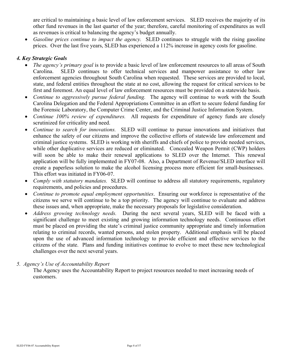are critical to maintaining a basic level of law enforcement services. SLED receives the majority of its other fund revenues in the last quarter of the year; therefore, careful monitoring of expenditures as well as revenues is critical to balancing the agency's budget annually.

• *Gasoline prices continue to impact the agency.* SLED continues to struggle with the rising gasoline prices. Over the last five years, SLED has experienced a 112% increase in agency costs for gasoline.

# *4. Key Strategic Goals*

- *The agency's primary goal* is to provide a basic level of law enforcement resources to all areas of South Carolina. SLED continues to offer technical services and manpower assistance to other law enforcement agencies throughout South Carolina when requested. These services are provided to local, state, and federal entities throughout the state at no cost, allowing the request for critical services to be first and foremost. An equal level of law enforcement resources must be provided on a statewide basis.
- *Continue to aggressively pursue federal funding.* The agency will continue to work with the South Carolina Delegation and the Federal Appropriations Committee in an effort to secure federal funding for the Forensic Laboratory, the Computer Crime Center, and the Criminal Justice Information System.
- *Continue 100% review of expenditures.* All requests for expenditure of agency funds are closely scrutinized for criticality and need.
- *Continue to search for innovations.* SLED will continue to pursue innovations and initiatives that enhance the safety of our citizens and improve the collective efforts of statewide law enforcement and criminal justice systems. SLED is working with sheriffs and chiefs of police to provide needed services, while other duplicative services are reduced or eliminated. Concealed Weapon Permit (CWP) holders will soon be able to make their renewal applications to SLED over the Internet. This renewal application will be fully implemented in FY07-08. Also, a Department of Revenue/SLED interface will create a paperless solution to make the alcohol licensing process more efficient for small-businesses. This effort was initiated in FY06-07.
- *Comply with statutory mandates.* SLED will continue to address all statutory requirements, regulatory requirements, and policies and procedures.
- *Continue to promote equal employment opportunities*. Ensuring our workforce is representative of the citizens we serve will continue to be a top priority. The agency will continue to evaluate and address these issues and, when appropriate, make the necessary proposals for legislative consideration.
- *Address growing technology needs.* During the next several years, SLED will be faced with a significant challenge to meet existing and growing information technology needs. Continuous effort must be placed on providing the state's criminal justice community appropriate and timely information relating to criminal records, wanted persons, and stolen property. Additional emphasis will be placed upon the use of advanced information technology to provide efficient and effective services to the citizens of the state. Plans and funding initiatives continue to evolve to meet these new technological challenges over the next several years.
- *5. Agency's Use of Accountability Report*

The Agency uses the Accountability Report to project resources needed to meet increasing needs of customers.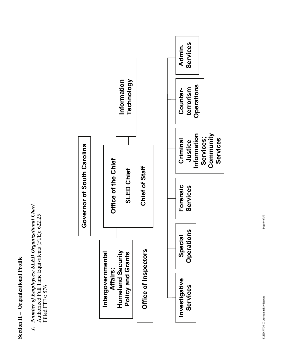**Section II – Organizational Profile**  Section II - Organizational Profile **1.** Number of Employees: SLED Organizational Chart.<br>Authorized Full Time Equivalents (FTE): 622.25 *1. Number of Employees: SLED Organizational Chart.* Authorized Full Time Equivalents (FTE): 622.25 Filled FTEs: 576 Filled FTEs: 576

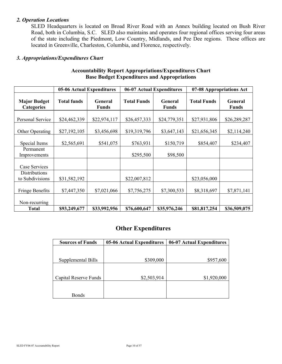#### *2. Operation Locations*

SLED Headquarters is located on Broad River Road with an Annex building located on Bush River Road, both in Columbia, S.C. SLED also maintains and operates four regional offices serving four areas of the state including the Piedmont, Low Country, Midlands, and Pee Dee regions. These offices are located in Greenville, Charleston, Columbia, and Florence, respectively.

#### *3. Appropriations/Expenditures Chart*

|                                          | 05-06 Actual Expenditures |                         |                    | 06-07 Actual Expenditures | 07-08 Appropriations Act |                                |
|------------------------------------------|---------------------------|-------------------------|--------------------|---------------------------|--------------------------|--------------------------------|
| <b>Major Budget</b><br><b>Categories</b> | <b>Total funds</b>        | General<br><b>Funds</b> | <b>Total Funds</b> | General<br><b>Funds</b>   | <b>Total Funds</b>       | <b>General</b><br><b>Funds</b> |
| Personal Service                         | \$24,462,339              | \$22,974,117            | \$26,457,333       | \$24,779,351              | \$27,931,806             | \$26,289,287                   |
| Other Operating                          | \$27,192,105              | \$3,456,698             | \$19,319,796       | \$3,647,143               | \$21,656,345             | \$2,114,240                    |
| Special Items                            | \$2,565,691               | \$541,075               | \$763,931          | \$150,719                 | \$854,407                | \$234,407                      |
| Permanent<br>Improvements                |                           |                         | \$295,500          | \$98,500                  |                          |                                |
| Case Services                            |                           |                         |                    |                           |                          |                                |
| Distributions<br>to Subdivisions         | \$31,582,192              |                         | \$22,007,812       |                           | \$23,056,000             |                                |
| <b>Fringe Benefits</b>                   | \$7,447,350               | \$7,021,066             | \$7,756,275        | \$7,300,533               | \$8,318,697              | \$7,871,141                    |
| Non-recurring                            |                           |                         |                    |                           |                          |                                |
| <b>Total</b>                             | \$93,249,677              | \$33,992,956            | \$76,600,647       | \$35,976,246              | \$81,817,254             | \$36,509,075                   |

## **Accountability Report Appropriations/Expenditures Chart Base Budget Expenditures and Appropriations**

# **Other Expenditures**

| <b>Sources of Funds</b> | 05-06 Actual Expenditures | 06-07 Actual Expenditures |
|-------------------------|---------------------------|---------------------------|
|                         |                           |                           |
|                         |                           |                           |
| Supplemental Bills      | \$309,000                 | \$957,600                 |
|                         |                           |                           |
|                         |                           |                           |
| Capital Reserve Funds   | \$2,503,914               | \$1,920,000               |
|                         |                           |                           |
|                         |                           |                           |
| <b>Bonds</b>            |                           |                           |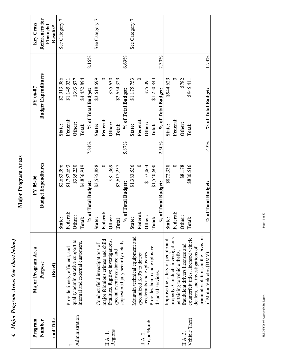4. Major Program Areas (see chart below) *4. Major Program Areas (see chart below)*

Major Program Areas **Major Program Areas** 

| Program                     | Major Program Area                                                    |                    | $YY05-06$                  |       |                    | $\rm FY~06-07$             |       | Key Cross                   |
|-----------------------------|-----------------------------------------------------------------------|--------------------|----------------------------|-------|--------------------|----------------------------|-------|-----------------------------|
| Number                      | Purpose                                                               |                    | <b>Budget Expenditures</b> |       |                    | <b>Budget Expenditures</b> |       | References for<br>Financial |
| and Title                   | (Brief)                                                               |                    |                            |       |                    |                            |       | Results*                    |
|                             |                                                                       | State:             | \$2,683,996                |       | State:             | \$2,913,986                |       | See Category 7              |
|                             | Provide timely, efficient, and                                        | Federal:           | \$1,787,693                |       | Federal:           | \$1,145,031                |       |                             |
| Administration              | quality administrative support to                                     | Other:             | \$365,230                  |       | Other:             | \$393,877                  |       |                             |
|                             | internal and external customers.                                      | Total:             | \$4,836,919                |       | <b>Total:</b>      | \$4,452,894                |       |                             |
|                             |                                                                       | % of Total Budget: |                            | 7.84% | % of Total Budget: |                            | 8.16% |                             |
|                             | Conduct field investigations of                                       | State:             | \$3,535,888                |       | State:             | \$3,618,699                |       | See Category 7              |
|                             | major felonious crimes and child                                      | Federal:           |                            |       | Federal:           |                            |       |                             |
| Regions<br>II A. 1.         | fatalities, fugitive investigations,                                  | Other:             | \$81,369                   |       | Other:             | \$35,630                   |       |                             |
|                             | special event assistance and                                          | Total              | \$3,617,257                |       | Total:             | \$3,654,329                |       |                             |
|                             | sequestered jury security details.                                    | % of Total Budget: |                            | 5.87% | % of Total Budget: |                            | 6.69% |                             |
|                             | Maintain technical equipment and                                      | State:             | \$1,383,536                |       | State:             | \$1,175,753                |       | See Category 7              |
|                             | specialized K-9's to detect                                           | Federal:           |                            |       | Federal:           |                            |       |                             |
| Arson/Bomb<br>$\prod$ A. 2. | accelerants and explosives.                                           | Other:             | \$157,064                  |       | Other:             | \$75,091                   |       |                             |
|                             | Provides bomb and explosive                                           | Total:             | \$1,540,600                |       | Total:             | \$1,250,844                |       |                             |
|                             | disposal services.                                                    | % of Total Budget: |                            | 2.50% | % of Total Budget: |                            | 2.30% |                             |
|                             | Improve the safety of people and                                      | State:             | \$872,338                  |       | State:             | \$944,629                  |       |                             |
|                             | property. Conducts investigations                                     | Federal:           |                            |       | Federal:           |                            |       |                             |
| II A. 3.                    | fraudulent drivers licenses and<br>pertaining to vehicle thefts,      | Other:             | \$8,178                    |       | Other:             | \$782                      |       |                             |
| Vehicle Theft               | counterfeit titles, licensed vehicle                                  | Total:             | \$880,516                  |       | Total:             | \$945,411                  |       |                             |
|                             | criminal violations at the Division<br>dealers, and investigations of |                    |                            |       |                    |                            |       |                             |
|                             | of Motor Vehicles (DMV).                                              | % of Total Budget: |                            | 1.43% | % of Total Budget: |                            | 1.73% |                             |
|                             |                                                                       |                    |                            |       |                    |                            |       |                             |

SLED FY06-07 Accountability Report  $\frac{1}{2}$ SLED FY06-07 Accountability Report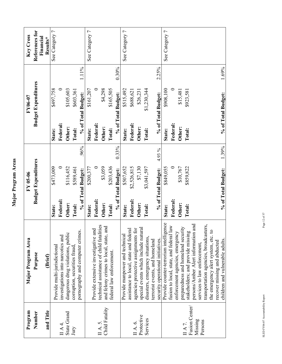| Program                    | Major Program Area                                                                 |          | FY 05-06                   |        |          | <b>FY06-07</b>             |       | Key Cross                   |
|----------------------------|------------------------------------------------------------------------------------|----------|----------------------------|--------|----------|----------------------------|-------|-----------------------------|
| Number                     | Purpose                                                                            |          | <b>Budget Expenditures</b> |        |          | <b>Budget Expenditures</b> |       | References for<br>Financial |
| and Title                  | (Brief)                                                                            |          |                            |        |          |                            |       | Results*                    |
|                            | Provide multi-jurisdictional                                                       | State:   | \$473,009                  |        | State:   | \$497,758                  |       | See Category 7              |
| II A 4.                    | investigations into narcotics and                                                  | Federal: |                            |        | Federal: |                            |       |                             |
| <b>State Grand</b>         | dangerous drug violations, public                                                  | Other:   | \$116,452                  |        | Other:   | \$105,603                  |       |                             |
| Jury                       | corruption, securities fraud,                                                      | Total:   | \$589,461                  |        | Total:   | \$603,361                  |       |                             |
|                            | pornography and computer crimes.                                                   |          | % of Total Budget:         | 96%    |          | % of Total Budget:         | 1.11% |                             |
|                            |                                                                                    | State:   | \$200,377                  |        | State:   | \$161,207                  |       | See Category 7              |
|                            | Provide extensive investigative and                                                | Federal: |                            |        | Federal: |                            |       |                             |
| Child Fatality<br>II A. 5. | technical assistance of child fatalities<br>and felony crimes to local, state, and | Other:   | \$3,059                    |        | Other:   | \$4,298                    |       |                             |
|                            | federal law enforcement.                                                           | Total:   | \$203,436                  |        | Total:   | \$165,505                  |       |                             |
|                            |                                                                                    |          | % of Total Budget:         | 0.33%  |          | % of Total Budget:         | 0.30% |                             |
|                            | Provide manpower and technical                                                     | State:   | \$507,652                  |        | State:   | \$515,492                  |       | See Category 7              |
|                            | assistance to local, state and federal                                             | Federal: | \$2,526,815                |        | Federal: | \$688,621                  |       |                             |
| II A. 6.                   | agencies protective assignments for                                                | Other:   | \$7,130                    |        | Other:   | \$26,231                   |       |                             |
| Protective<br>Services     | special events which include natural                                               | Total:   | \$3,041,597                |        | Total:   | \$1,230,344                |       |                             |
|                            | disasters, emergency situations,<br>terrorist events, and homeland                 |          |                            |        |          |                            |       |                             |
|                            | security operational initiatives.                                                  |          | % of Total Budget:         | 4.93 % |          | % of Total Budget:         | 2.25% |                             |
|                            | igence<br>Provide counter-terrorism intell                                         | State:   | \$849,055                  |        | State:   | \$908,100                  |       | See Category 7              |
|                            | fusion to local, state, and federal law                                            | Federal: |                            |        | Federal: |                            |       |                             |
|                            | preparedness and homeland security<br>enforcement agencies, emergency              | Other:   | \$10,767                   |        | Other:   | \$15,481                   |       |                             |
| II A 7.                    | stakeholders; and provide missing                                                  | Total:   | \$859,822                  |        | Total:   | \$923,581                  |       |                             |
| Fusion Center/             | persons/Amber Alert information and                                                |          |                            |        |          |                            |       |                             |
| Missing<br>Persons         | services to law enforcement,                                                       |          |                            |        |          |                            |       |                             |
|                            | transportation agencies, broadcasters,                                             |          |                            |        |          |                            |       |                             |
|                            | the emergency alert system, etc. to                                                |          |                            |        |          |                            |       |                             |
|                            | recover missing and abducted                                                       |          |                            |        |          |                            |       |                             |
|                            | children and vulnerable adults.                                                    |          | % of Total Budget:         | 1.39%  |          | % of Total Budget:         | 1.69% |                             |

Major Program Areas **Major Program Areas** 

> SLED FY06-07 Accountability Report  $\frac{1}{2}$ SLED FY06-07 Accountability Report

Page 12 of 57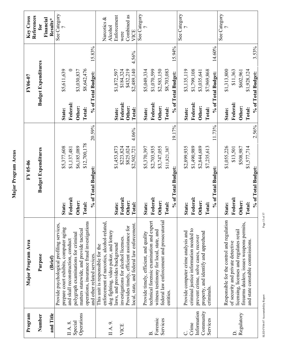| Program                  | Major Program Area                                                                   |                    | FY 05-06                   |        |          | FY06-07                    |        | References<br>Key Cross       |
|--------------------------|--------------------------------------------------------------------------------------|--------------------|----------------------------|--------|----------|----------------------------|--------|-------------------------------|
| Number                   | Purpose                                                                              |                    | <b>Budget Expenditures</b> |        |          | <b>Budget Expenditures</b> |        | Financial<br>for              |
| and Title                | (Brief)                                                                              |                    |                            |        |          |                            |        | Results*                      |
|                          | Provide psychological profiling services,<br>prepare court exhibits, computer aging  | State:             | \$5,377,608                |        | State:   | \$5,611,639                |        | See Category                  |
| $\prod$ A. 8.            | and skull reconstruction, conduct                                                    | Federal:           | \$1,137,481                |        | Federal: |                            |        |                               |
| Special                  | polygraph examinations for criminal                                                  | Other:             | \$6,185,089                |        | Other:   | \$3,030,837                |        |                               |
| Operations               | matters statewide, and provide tactical                                              | Total:             | \$12,700,178               |        | Total:   | \$8,642,476                |        |                               |
|                          | operations, insurance fraud investigations<br>and other related services             | % of Total Budget: |                            | 20.59% |          | % of Total Budget:         | 15.83% |                               |
|                          | This unit is responsible for the                                                     |                    |                            |        |          |                            |        |                               |
|                          | enforcement of narcotics, alcohol-related,                                           |                    |                            |        |          |                            |        | Narcotics &<br><b>Alcohol</b> |
| $\prod$ A. 9.            | dog fighting, video poker, and lottery<br>laws, and provides background              | State:             | \$1,453,873                |        | State:   | \$1,872,597                |        | Enforcement                   |
| <b>VICE</b>              | investigations for alcohol licenses.                                                 | Federal:           | \$223,824                  |        | Federal: | \$184,324                  |        | were                          |
|                          | Provides timely, efficient assistance for                                            | Other:             | \$825,024                  |        | Other:   | \$432,219                  |        | Combined as                   |
|                          | local, state, and federal law enforcement.                                           | Total:             | \$2,502,721                | 4.06%  | Total:   | \$2,489,140                | 4.56%  | VICE                          |
|                          |                                                                                      |                    |                            |        |          |                            |        | See Category                  |
|                          | Provide timely, efficient, and quality                                               | State:             | \$5,370,397                |        | State:   | \$5,049,334                |        |                               |
| $\vec{p}$                | technical forensic examination and expert                                            | Federal:           | \$2,703,935                |        | Federal: | \$1,070,599                |        |                               |
| Forensic<br>Services     | federal law enforcement and prosecutorial<br>witness testimony for local, state, and | Other:             | \$3,747,055                |        | Other:   | \$2,583,150                |        |                               |
|                          | entities.                                                                            | Total:             | \$11,821,387               |        | Total:   | \$8,703,083                |        |                               |
|                          |                                                                                      | % of Total Budget: |                            | 19.17% |          | % of Total Budget:         | 15.94% |                               |
|                          |                                                                                      |                    |                            |        |          |                            |        | See Category                  |
|                          | Provide computer crime analysis and                                                  | State:             | \$2,899,935                |        | State:   | \$3,135,119                |        |                               |
| Crime                    | criminal justice information needed to                                               | Federal:           | \$1,490,989                |        | Federal: | \$1,799,108                |        |                               |
| Information<br>Community | property, and identify and apprehend<br>prevent crime, solve cases, recover          | Other:             | \$2,844,689                |        | Other:   | \$3,035,641                |        |                               |
| Services                 | criminals.                                                                           | Total:             | \$7,235,613                |        | Total:   | \$7,969,868                |        |                               |
|                          |                                                                                      | % of Total Budget: |                            | 11.73% |          | % of Total Budget:         | 14.60% |                               |
|                          | Responsible for the control and regulation                                           | State:             | \$1,055,226                |        | State:   | \$1,313,800                |        | See Category                  |
|                          |                                                                                      |                    |                            |        |          |                            |        |                               |
|                          | licensing, licenses and regulates retail<br>of security and private detective        | Federal:           | \$13,501                   |        | Federal: | \$11,363                   |        |                               |
| Regulatory               | firearms dealers, issues weapons permits,                                            | Other:             | \$508,987                  |        | Other:   | \$602,961                  |        |                               |
|                          | and state constable commissions.                                                     | Total:             | \$1,577,714                |        | Total:   | \$1,928,124                |        |                               |
|                          |                                                                                      | % of Total Budget: |                            | 2.56%  |          | % of Total Budget:         | 3.53%  |                               |

Major Program Areas **Major Program Areas** 

> SLED FY06-07 Accountability Report  $\frac{1}{2}$ SLED FY06-07 Accountability Report

Page 13 of 57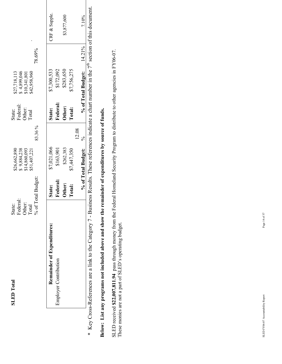| <b>SLED</b> Total                                                                                                                                                 | % of Total Budget:<br>Federal:<br>Other:<br>State:<br>Total | 83.36%<br>\$26,662,890<br>\$9,884,238<br>\$14,860,093<br>\$51,407,221 | Federal:<br>Other:<br>State:<br>Total | \$4,899,046<br>\$27,718,113<br>\$42,958,960<br>\$10,341,801 | 78.69% |               |
|-------------------------------------------------------------------------------------------------------------------------------------------------------------------|-------------------------------------------------------------|-----------------------------------------------------------------------|---------------------------------------|-------------------------------------------------------------|--------|---------------|
|                                                                                                                                                                   |                                                             |                                                                       |                                       |                                                             |        |               |
| Remainder of Expenditures:                                                                                                                                        | State:                                                      | \$7,021,066                                                           | State:                                | \$7,300,533                                                 |        | CRF & Supple. |
| Employer Contribution                                                                                                                                             | Federal:                                                    | \$163,901                                                             | Federal:                              | \$172,092                                                   |        |               |
|                                                                                                                                                                   | Other:                                                      | \$262,383                                                             | Other:                                | \$283,650                                                   |        | \$3,877,600   |
|                                                                                                                                                                   | Total:                                                      | \$7,447,350                                                           | Total:                                | \$7,756,275                                                 |        |               |
|                                                                                                                                                                   |                                                             | 12.08                                                                 |                                       |                                                             |        |               |
|                                                                                                                                                                   |                                                             | $\delta_{\rm o}$<br>% of Total Budget:                                |                                       | % of Total Budget:                                          | 14.21% | 7.10%         |
| * Key Cross-References are a link to the Category 7 - Business Results. These references indicate a chart number in the $7^{\text{th}}$ section of this document. |                                                             |                                                                       |                                       |                                                             |        |               |

Below: List any programs not included above and show the remainder of expenditures by source of funds. **Below: List any programs not included above and show the remainder of expenditures by source of funds.** 

SLED received \$22,007,811.94 pass through money from the Federal Homeland Security Program to distribute to other agencies in FY06-07.<br>These monies are not a part of SLED's operating budget. SLED received **\$22,007,811.94** pass through money from the Federal Homeland Security Program to distribute to other agencies in FY06-07. These monies are not a part of SLED's operating budget.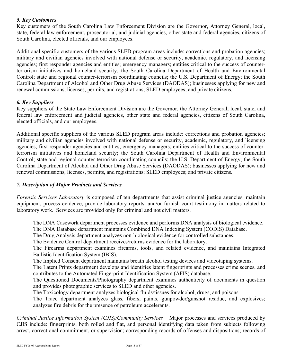#### *5. Key Customers*

Key customers of the South Carolina Law Enforcement Division are the Governor, Attorney General, local, state, federal law enforcement, prosecutorial, and judicial agencies, other state and federal agencies, citizens of South Carolina, elected officials, and our employees.

Additional specific customers of the various SLED program areas include: corrections and probation agencies; military and civilian agencies involved with national defense or security, academic, regulatory, and licensing agencies; first responder agencies and entities; emergency managers; entities critical to the success of counterterrorism initiatives and homeland security; the South Carolina Department of Health and Environmental Control; state and regional counter-terrorism coordinating councils; the U.S. Department of Energy; the South Carolina Department of Alcohol and Other Drug Abuse Services (DAODAS); businesses applying for new and renewal commissions, licenses, permits, and registrations; SLED employees; and private citizens.

#### *6. Key Suppliers*

Key suppliers of the State Law Enforcement Division are the Governor, the Attorney General, local, state, and federal law enforcement and judicial agencies, other state and federal agencies, citizens of South Carolina, elected officials, and our employees.

Additional specific suppliers of the various SLED program areas include: corrections and probation agencies; military and civilian agencies involved with national defense or security, academic, regulatory, and licensing agencies; first responder agencies and entities; emergency managers; entities critical to the success of counterterrorism initiatives and homeland security; the South Carolina Department of Health and Environmental Control; state and regional counter-terrorism coordinating councils; the U.S. Department of Energy; the South Carolina Department of Alcohol and Other Drug Abuse Services (DAODAS); businesses applying for new and renewal commissions, licenses, permits, and registrations; SLED employees; and private citizens.

# *7. Description of Major Products and Services*

*Forensic Services Laboratory* is composed of ten departments that assist criminal justice agencies, maintain equipment, process evidence, provide laboratory reports, and/or furnish court testimony in matters related to laboratory work. Services are provided only for criminal and not civil matters.

The DNA Casework department processes evidence and performs DNA analysis of biological evidence.

The DNA Database department maintains Combined DNA Indexing System (CODIS) Database.

The Drug Analysis department analyzes non-biological evidence for controlled substances.

The Evidence Control department receives/returns evidence for the laboratory.

The Firearms department examines firearms, tools, and related evidence, and maintains Integrated Ballistic Identification System (IBIS).

The Implied Consent department maintains breath alcohol testing devices and videotaping systems.

The Latent Prints department develops and identifies latent fingerprints and processes crime scenes, and contributes to the Automated Fingerprint Identification System (AFIS) database.

The Questioned Documents/Photography department examines authenticity of documents in question and provides photographic services to SLED and other agencies.

The Toxicology department analyzes biological fluids/tissues for alcohol, drugs, and poisons.

The Trace department analyzes glass, fibers, paints, gunpowder/gunshot residue, and explosives; analyzes fire debris for the presence of petroleum accelerants.

*Criminal Justice Information System (CJIS)/Community Services* – Major processes and services produced by CJIS include: fingerprints, both rolled and flat, and personal identifying data taken from subjects following arrest, correctional commitment, or supervision; corresponding records of offenses and dispositions; records of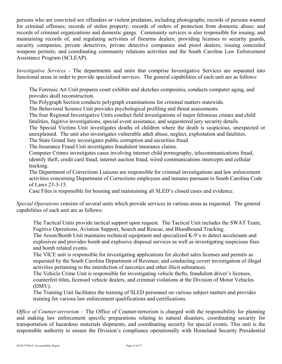persons who are convicted sex offenders or violent predators, including photographs; records of persons wanted for criminal offenses; records of stolen property; records of orders of protection from domestic abuse; and records of criminal organizations and domestic gangs. Community services is also responsible for issuing, and maintaining records of, and regulating activities of firearms dealers; providing licenses to security guards, security companies, private detectives, private detective companies and pistol dealers; issuing concealed weapons permits; and coordinating community relations activities and the South Carolina Law Enforcement Assistance Program (SCLEAP).

*Investigative Services* - The departments and units that comprise Investigative Services are separated into functional areas in order to provide specialized services. The general capabilities of each unit are as follows:

The Forensic Art Unit prepares court exhibits and sketches composites, conducts computer aging, and provides skull reconstruction.

The Polygraph Section conducts polygraph examinations for criminal matters statewide.

The Behavioral Science Unit provides psychological profiling and threat assessments.

The four Regional Investigative Units conduct field investigations of major felonious crimes and child fatalities, fugitive investigations, special event assistance, and sequestered jury security details.

The Special Victims Unit investigates deaths of children where the death is suspicious, unexpected or unexplained. The unit also investigates vulnerable adult abuse, neglect, exploitation and fatalities. The State Grand Jury investigates public corruption and securities fraud.

The Insurance Fraud Unit investigates fraudulent insurance claims.

Computer Crimes investigates cases involving internet child pornography, telecommunications fraud, identify theft, credit card fraud, internet auction fraud, wired communications intercepts and cellular tracking.

The Department of Corrections Liaisons are responsible for criminal investigations and law enforcement activities concerning Department of Corrections employees and inmates pursuant to South Carolina Code of Laws 23-3-15.

Case Files is responsible for housing and maintaining all SLED's closed cases and evidence.

*Special Operations* consists of several units which provide services in various areas as requested. The general capabilities of each unit are as follows:

The Tactical Units provide tactical support upon request. The Tactical Unit includes the SWAT Team, Fugitive Operations, Aviation Support, Search and Rescue, and Bloodhound Tracking.

The Arson/Bomb Unit maintains technical equipment and specialized K-9's to detect accelerants and explosives and provides bomb and explosive disposal services as well as investigating suspicious fires and bomb related events.

The VICE unit is responsible for investigating applications for alcohol sales licenses and permits as requested by the South Carolina Department of Revenue; and conducting covert investigation of illegal activities pertaining to the interdiction of narcotics and other illicit substances.

The Vehicle Crime Unit is responsible for investigating vehicle thefts, fraudulent driver's licenses, counterfeit titles, licensed vehicle dealers, and criminal violations at the Division of Motor Vehicles (DMV).

The Training Unit facilitates the training of SLED personnel on various subject matters and provides training for various law enforcement qualifications and certifications.

*Office of Counter-terrorism* – The Office of Counter-terrorism is charged with the responsibility for planning and making law enforcement specific preparations relating to natural disasters, coordinating security for transportation of hazardous materials shipments, and coordinating security for special events. This unit is the responsible authority to ensure the Division's compliance operationally with Homeland Security Presidential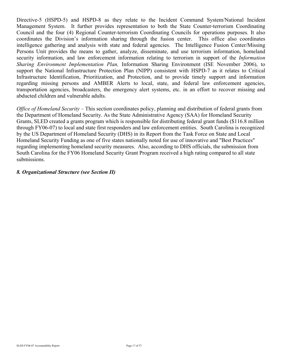Directive-5 (HSPD-5) and HSPD-8 as they relate to the Incident Command System/National Incident Management System. It further provides representation to both the State Counter-terrorism Coordinating Council and the four (4) Regional Counter-terrorism Coordinating Councils for operations purposes. It also coordinates the Division's information sharing through the fusion center. This office also coordinates intelligence gathering and analysis with state and federal agencies. The Intelligence Fusion Center/Missing Persons Unit provides the means to gather, analyze, disseminate, and use terrorism information, homeland security information, and law enforcement information relating to terrorism in support of the *Information Sharing Environment Implementation Plan,* Information Sharing Environment (ISE November 2006), to support the National Infrastructure Protection Plan (NIPP) consistent with HSPD-7 as it relates to Critical Infrastructure Identification, Prioritization, and Protection, and to provide timely support and information regarding missing persons and AMBER Alerts to local, state, and federal law enforcement agencies, transportation agencies, broadcasters, the emergency alert systems, etc. in an effort to recover missing and abducted children and vulnerable adults.

*Office of Homeland Security – This section coordinates policy, planning and distribution of federal grants from* the Department of Homeland Security. As the State Administrative Agency (SAA) for Homeland Security Grants, SLED created a grants program which is responsible for distributing federal grant funds (\$116.8 million through FY06-07) to local and state first responders and law enforcement entities. South Carolina is recognized by the US Department of Homeland Security (DHS) in its Report from the Task Force on State and Local Homeland Security Funding as one of five states nationally noted for use of innovative and "Best Practices" regarding implementing homeland security measures. Also, according to DHS officials, the submission from South Carolina for the FY06 Homeland Security Grant Program received a high rating compared to all state submissions.

## *8. Organizational Structure (see Section II)*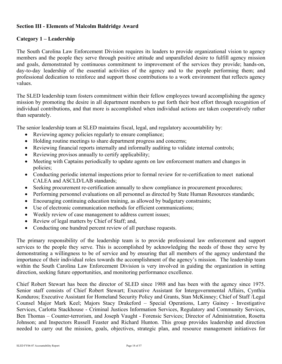#### **Section III - Elements of Malcolm Baldridge Award**

# **Category 1 – Leadership**

The South Carolina Law Enforcement Division requires its leaders to provide organizational vision to agency members and the people they serve through positive attitude and unparalleled desire to fulfill agency mission and goals, demonstrated by continuous commitment to improvement of the services they provide; hands-on, day-to-day leadership of the essential activities of the agency and to the people performing them; and professional dedication to reinforce and support those contributions to a work environment that reflects agency values.

The SLED leadership team fosters commitment within their fellow employees toward accomplishing the agency mission by promoting the desire in all department members to put forth their best effort through recognition of individual contributions, and that more is accomplished when individual actions are taken cooperatively rather than separately.

The senior leadership team at SLED maintains fiscal, legal, and regulatory accountability by:

- Reviewing agency policies regularly to ensure compliance;
- Holding routine meetings to share department progress and concerns;
- Reviewing financial reports internally and informally auditing to validate internal controls;
- Reviewing provisos annually to certify applicability;
- Meeting with Captains periodically to update agents on law enforcement matters and changes in policies;
- Conducting periodic internal inspections prior to formal review for re-certification to meet national CALEA and ASCLD/LAB standards;
- Seeking procurement re-certification annually to show compliance in procurement procedures;
- Performing personnel evaluations on all personnel as directed by State Human Resources standards;
- Encouraging continuing education training, as allowed by budgetary constraints;
- Use of electronic communication methods for efficient communications;
- Weekly review of case management to address current issues;
- Review of legal matters by Chief of Staff; and,
- Conducting one hundred percent review of all purchase requests.

The primary responsibility of the leadership team is to provide professional law enforcement and support services to the people they serve. This is accomplished by acknowledging the needs of those they serve by demonstrating a willingness to be of service and by ensuring that all members of the agency understand the importance of their individual roles towards the accomplishment of the agency's mission. The leadership team within the South Carolina Law Enforcement Division is very involved in guiding the organization in setting direction, seeking future opportunities, and monitoring performance excellence.

Chief Robert Stewart has been the director of SLED since 1988 and has been with the agency since 1975. Senior staff consists of Chief Robert Stewart; Executive Assistant for Intergovernmental Affairs, Cynthia Konduros; Executive Assistant for Homeland Security Policy and Grants, Stan McKinney; Chief of Staff /Legal Counsel Major Mark Keel; Majors Stacy Drakeford – Special Operations, Larry Gainey - Investigative Services, Carlotta Stackhouse - Criminal Justices Information Services, Regulatory and Community Services, Ben Thomas – Counter-terrorism, and Joseph Vaught - Forensic Services; Director of Administration, Rosetta Johnson; and Inspectors Russell Feaster and Richard Hunton. This group provides leadership and direction needed to carry out the mission, goals, objectives, strategic plan, and resource management initiatives for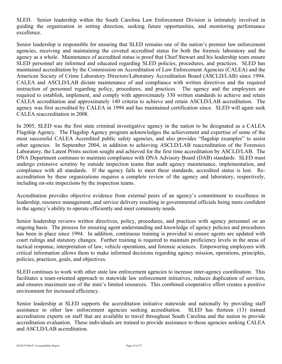SLED. Senior leadership within the South Carolina Law Enforcement Division is intimately involved in guiding the organization in setting direction, seeking future opportunities, and monitoring performance excellence.

Senior leadership is responsible for ensuring that SLED remains one of the nation's premier law enforcement agencies, receiving and maintaining the coveted accredited status for both the forensic laboratory and the agency as a whole. Maintenance of accredited status is proof that Chief Stewart and his leadership team ensure SLED personnel are informed and educated regarding SLED policies, procedures, and practices. SLED has maintained accreditation by the Commission on Accreditation of Law Enforcement Agencies (CALEA) and the American Society of Crime Laboratory Directors/Laboratory Accreditation Board (ASCLD/LAB) since 1994. CALEA and ASCLD/LAB dictate maintenance of and compliance with written directives and the required instruction of personnel regarding policy, procedures, and practices. The agency and the employees are required to establish, implement, and comply with approximately 330 written standards to achieve and retain CALEA accreditation and approximately 140 criteria to achieve and retain ASCLD/LAB accreditation. The agency was first accredited by CALEA in 1994 and has maintained certification since. SLED will again seek CALEA reaccreditation in 2008.

In 2005, SLED was the first state criminal investigative agency in the nation to be designated as a CALEA Flagship Agency. The Flagship Agency program acknowledges the achievement and expertise of some of the most successful CALEA Accredited public safety agencies, and also provides "flagship examples" to assist other agencies. In September 2004, in addition to achieving ASCLD/LAB reaccreditation of the Forensics Laboratory, the Latent Prints section sought and achieved for the first time accreditation by ASCLD/LAB. The DNA Department continues to maintain compliance with DNA Advisory Board (DAB) standards. SLED must undergo extensive scrutiny by outside inspection teams that audit agency maintenance, implementation, and compliance with all standards. If the agency fails to meet these standards, accredited status is lost. Reaccreditation by these organizations requires a complete review of the agency and laboratory, respectively, including on-site inspections by the inspection teams.

Accreditation provides objective evidence from external peers of an agency's commitment to excellence in leadership, resource management, and service delivery resulting in governmental officials being more confident in the agency's ability to operate efficiently and meet community needs.

Senior leadership reviews written directives, policy, procedures, and practices with agency personnel on an ongoing basis. The process for ensuring agent understanding and knowledge of agency policies and procedures has been in place since 1994. In addition, continuous training is provided to ensure agents are updated with court rulings and statutory changes. Further training is required to maintain proficiency levels in the areas of tactical response, interpretation of law, vehicle operations, and forensic sciences. Empowering employees with critical information allows them to make informed decisions regarding agency mission, operations, principles, policies, practices, goals, and objectives.

SLED continues to work with other state law enforcement agencies to increase inter-agency coordination. This facilitates a team-oriented approach to statewide law enforcement initiatives, reduces duplication of services, and ensures maximum use of the state's limited resources. This combined cooperative effort creates a positive environment for increased efficiency.

Senior leadership at SLED supports the accreditation initiative statewide and nationally by providing staff assistance to other law enforcement agencies seeking accreditation. SLED has thirteen (13) trained accreditation experts on staff that are available to travel throughout South Carolina and the nation to provide accreditation evaluation. These individuals are trained to provide assistance to those agencies seeking CALEA and ASCLD/LAB accreditation.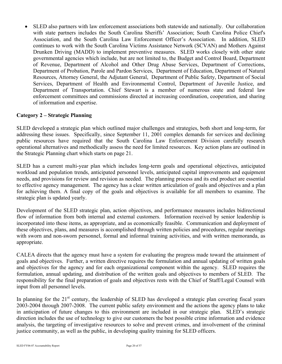• SLED also partners with law enforcement associations both statewide and nationally. Our collaboration with state partners includes the South Carolina Sheriffs' Association; South Carolina Police Chief's Association, and the South Carolina Law Enforcement Officer's Association. In addition, SLED continues to work with the South Carolina Victims Assistance Network (SCVAN) and Mothers Against Drunken Driving (MADD) to implement preventive measures. SLED works closely with other state governmental agencies which include, but are not limited to, the Budget and Control Board, Department of Revenue, Department of Alcohol and Other Drug Abuse Services, Department of Corrections, Department of Probation, Parole and Pardon Services, Department of Education, Department of Natural Resources, Attorney General, the Adjutant General, Department of Public Safety, Department of Social Services, Department of Health and Environmental Control, Department of Juvenile Justice, and Department of Transportation. Chief Stewart is a member of numerous state and federal law enforcement committees and commissions directed at increasing coordination, cooperation, and sharing of information and expertise.

# **Category 2 – Strategic Planning**

SLED developed a strategic plan which outlined major challenges and strategies, both short and long-term, for addressing these issues. Specifically, since September 11, 2001 complex demands for services and declining public resources have required that the South Carolina Law Enforcement Division carefully research operational alternatives and methodically assess the need for limited resources. Key action plans are outlined in the Strategic Planning chart which starts on page 21.

SLED has a current multi-year plan which includes long-term goals and operational objectives, anticipated workload and population trends, anticipated personnel levels, anticipated capital improvements and equipment needs, and provisions for review and revision as needed. The planning process and its end product are essential to effective agency management. The agency has a clear written articulation of goals and objectives and a plan for achieving them. A final copy of the goals and objectives is available for all members to examine. The strategic plan is updated yearly.

Development of the SLED strategic plan, action objectives, and performance measures includes bidirectional flow of information from both internal and external customers. Information received by senior leadership is incorporated into these items, as appropriate, and as economically feasible. Communication and deployment of these objectives, plans, and measures is accomplished through written policies and procedures, regular meetings with sworn and non-sworn personnel, formal and informal training activities, and with written memoranda, as appropriate.

CALEA directs that the agency must have a system for evaluating the progress made toward the attainment of goals and objectives. Further, a written directive requires the formulation and annual updating of written goals and objectives for the agency and for each organizational component within the agency. SLED requires the formulation, annual updating, and distribution of the written goals and objectives to members of SLED. The responsibility for the final preparation of goals and objectives rests with the Chief of Staff/Legal Counsel with input from all personnel levels.

In planning for the  $21<sup>st</sup>$  century, the leadership of SLED has developed a strategic plan covering fiscal years 2003-2004 through 2007-2008. The current public safety environment and the actions the agency plans to take in anticipation of future changes to this environment are included in our strategic plan. SLED's strategic direction includes the use of technology to give our customers the best possible crime information and evidence analysis, the targeting of investigative resources to solve and prevent crimes, and involvement of the criminal justice community, as well as the public, in developing quality training for SLED officers.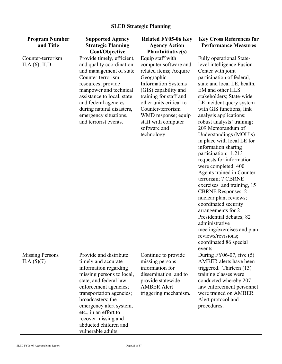# **SLED Strategic Planning**

| <b>Program Number</b><br>and Title    | <b>Supported Agency</b><br><b>Strategic Planning</b>                                                                                                                                                                                                                                                                              | <b>Related FY05-06 Key</b><br><b>Agency Action</b>                                                                                                                                                                                                                                             | <b>Key Cross References for</b><br><b>Performance Measures</b>                                                                                                                                                                                                                                                                                                                                                                                                                                                                                                                                                                                                                                                                                                                                                     |
|---------------------------------------|-----------------------------------------------------------------------------------------------------------------------------------------------------------------------------------------------------------------------------------------------------------------------------------------------------------------------------------|------------------------------------------------------------------------------------------------------------------------------------------------------------------------------------------------------------------------------------------------------------------------------------------------|--------------------------------------------------------------------------------------------------------------------------------------------------------------------------------------------------------------------------------------------------------------------------------------------------------------------------------------------------------------------------------------------------------------------------------------------------------------------------------------------------------------------------------------------------------------------------------------------------------------------------------------------------------------------------------------------------------------------------------------------------------------------------------------------------------------------|
|                                       | Goal/Objective                                                                                                                                                                                                                                                                                                                    | <b>Plan/Initiative(s)</b>                                                                                                                                                                                                                                                                      |                                                                                                                                                                                                                                                                                                                                                                                                                                                                                                                                                                                                                                                                                                                                                                                                                    |
| Counter-terrorism<br>II.A.(6); II.D   | Provide timely, efficient,<br>and quality coordination<br>and management of state<br>Counter-terrorism<br>resources; provide<br>manpower and technical<br>assistance to local, state<br>and federal agencies<br>during natural disasters,<br>emergency situations,<br>and terrorist events.                                       | Equip staff with<br>computer software and<br>related items; Acquire<br>Geographic<br><b>Information Systems</b><br>(GIS) capability and<br>training for staff and<br>other units critical to<br>Counter-terrorism<br>WMD response; equip<br>staff with computer<br>software and<br>technology. | Fully operational State-<br>level intelligence Fusion<br>Center with joint<br>participation of federal,<br>state and local LE, health,<br>EM and other HLS<br>stakeholders; State-wide<br>LE incident query system<br>with GIS functions; link<br>analysis applications;<br>robust analysts' training;<br>209 Memorandum of<br>Understandings (MOU's)<br>in place with local LE for<br>information sharing<br>participation; 1,213<br>requests for information<br>were completed; 400<br>Agents trained in Counter-<br>terrorism; 7 CBRNE<br>exercises and training, 15<br><b>CBRNE</b> Responses, 2<br>nuclear plant reviews;<br>coordinated security<br>arrangements for 2<br>Presidential debates; 82<br>administrative<br>meeting/exercises and plan<br>reviews/revisions;<br>coordinated 86 special<br>events |
| <b>Missing Persons</b><br>II.A.(5)(7) | Provide and distribute<br>timely and accurate<br>information regarding<br>missing persons to local,<br>state, and federal law<br>enforcement agencies;<br>transportation agencies;<br>broadcasters; the<br>emergency alert system,<br>etc., in an effort to<br>recover missing and<br>abducted children and<br>vulnerable adults. | Continue to provide<br>missing persons<br>information for<br>dissemination, and to<br>provide statewide<br><b>AMBER Alert</b><br>triggering mechanism.                                                                                                                                         | During FY06-07, five $(5)$<br>AMBER alerts have been<br>triggered. Thirteen (13)<br>training classes were<br>conducted whereby 207<br>law enforcement personnel<br>were trained on AMBER<br>Alert protocol and<br>procedures.                                                                                                                                                                                                                                                                                                                                                                                                                                                                                                                                                                                      |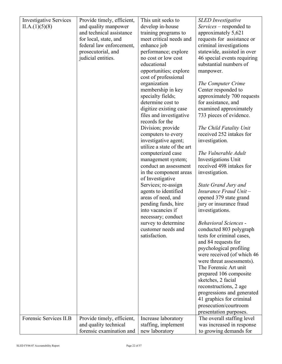| <b>Investigative Services</b> | Provide timely, efficient, | This unit seeks to                                | <b>SLED</b> Investigative                         |
|-------------------------------|----------------------------|---------------------------------------------------|---------------------------------------------------|
| II.A.(1)(5)(8)                | and quality manpower       | develop in-house                                  | Services - responded to                           |
|                               | and technical assistance   | training programs to                              | approximately 5,621                               |
|                               | for local, state, and      | meet critical needs and                           | requests for assistance or                        |
|                               | federal law enforcement,   | enhance job                                       | criminal investigations                           |
|                               | prosecutorial, and         | performance; explore                              | statewide, assisted in over                       |
|                               | judicial entities.         | no cost or low cost                               | 46 special events requiring                       |
|                               |                            | educational                                       | substantial numbers of                            |
|                               |                            | opportunities; explore                            | manpower.                                         |
|                               |                            | cost of professional                              |                                                   |
|                               |                            | organization                                      | The Computer Crime                                |
|                               |                            | membership in key                                 | Center responded to                               |
|                               |                            | specialty fields;                                 | approximately 700 requests                        |
|                               |                            | determine cost to                                 | for assistance, and                               |
|                               |                            | digitize existing case<br>files and investigative | examined approximately<br>733 pieces of evidence. |
|                               |                            | records for the                                   |                                                   |
|                               |                            | Division; provide                                 | The Child Fatality Unit                           |
|                               |                            | computers to every                                | received 252 intakes for                          |
|                               |                            | investigative agent;                              | investigation.                                    |
|                               |                            | utilize a state of the art                        |                                                   |
|                               |                            | computerized case                                 | The Vulnerable Adult                              |
|                               |                            | management system;                                | Investigations Unit                               |
|                               |                            | conduct an assessment                             | received 498 intakes for                          |
|                               |                            | in the component areas                            | investigation.                                    |
|                               |                            | of Investigative                                  |                                                   |
|                               |                            | Services; re-assign                               | <b>State Grand Jury and</b>                       |
|                               |                            | agents to identified                              | Insurance Fraud Unit-                             |
|                               |                            | areas of need, and                                | opened 379 state grand                            |
|                               |                            | pending funds, hire                               | jury or insurance fraud                           |
|                               |                            | into vacancies if                                 | investigations.                                   |
|                               |                            | necessary; conduct                                |                                                   |
|                               |                            | survey to determine                               | <b>Behavioral Sciences -</b>                      |
|                               |                            | customer needs and                                | conducted 803 polygraph                           |
|                               |                            | satisfaction.                                     | tests for criminal cases,<br>and 84 requests for  |
|                               |                            |                                                   | psychological profiling                           |
|                               |                            |                                                   | were received (of which 46                        |
|                               |                            |                                                   | were threat assessments).                         |
|                               |                            |                                                   | The Forensic Art unit                             |
|                               |                            |                                                   | prepared 106 composite                            |
|                               |                            |                                                   | sketches, 2 facial                                |
|                               |                            |                                                   | reconstructions, 2 age                            |
|                               |                            |                                                   | progressions and generated                        |
|                               |                            |                                                   | 41 graphics for criminal                          |
|                               |                            |                                                   | prosecution/courtroom                             |
|                               |                            |                                                   | presentation purposes.                            |
| Forensic Services II.B        | Provide timely, efficient, | Increase laboratory                               | The overall staffing level                        |
|                               | and quality technical      | staffing, implement                               | was increased in response                         |
|                               | forensic examination and   | new laboratory                                    | to growing demands for                            |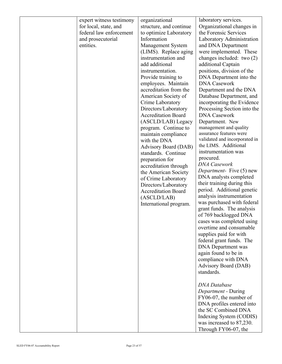| expert witness testimony | organizational                        | laboratory services.                              |
|--------------------------|---------------------------------------|---------------------------------------------------|
| for local, state, and    | structure, and continue               | Organizational changes in                         |
| federal law enforcement  | to optimize Laboratory                | the Forensic Services                             |
| and prosecutorial        | Information                           | Laboratory Administration                         |
| entities.                | Management System                     | and DNA Department                                |
|                          | (LIMS). Replace aging                 | were implemented. These                           |
|                          | instrumentation and<br>add additional | changes included: two $(2)$<br>additional Captain |
|                          | instrumentation.                      | positions, division of the                        |
|                          | Provide training to                   | DNA Department into the                           |
|                          | employees. Maintain                   | <b>DNA Casework</b>                               |
|                          | accreditation from the                | Department and the DNA                            |
|                          | American Society of                   | Database Department, and                          |
|                          | Crime Laboratory                      | incorporating the Evidence                        |
|                          | Directors/Laboratory                  | Processing Section into the                       |
|                          | <b>Accreditation Board</b>            | <b>DNA Casework</b>                               |
|                          | (ASCLD/LAB) Legacy                    | Department. New                                   |
|                          | program. Continue to                  | management and quality                            |
|                          | maintain compliance                   | assurance features were                           |
|                          | with the DNA                          | validated and incorporated in                     |
|                          | <b>Advisory Board (DAB)</b>           | the LIMS. Additional                              |
|                          | standards. Continue                   | instrumentation was                               |
|                          | preparation for                       | procured.                                         |
|                          | accreditation through                 | <b>DNA</b> Casework                               |
|                          | the American Society                  | Department- Five (5) new                          |
|                          | of Crime Laboratory                   | DNA analysts completed                            |
|                          | Directors/Laboratory                  | their training during this                        |
|                          | <b>Accreditation Board</b>            | period. Additional genetic                        |
|                          | (ASCLD/LAB)                           | analysis instrumentation                          |
|                          | International program.                | was purchased with federal                        |
|                          |                                       | grant funds. The analysis                         |
|                          |                                       | of 769 backlogged DNA                             |
|                          |                                       | cases was completed using                         |
|                          |                                       | overtime and consumable                           |
|                          |                                       | supplies paid for with                            |
|                          |                                       | federal grant funds. The                          |
|                          |                                       | <b>DNA</b> Department was                         |
|                          |                                       | again found to be in                              |
|                          |                                       | compliance with DNA                               |
|                          |                                       | Advisory Board (DAB)                              |
|                          |                                       | standards.                                        |
|                          |                                       | <b>DNA</b> Database                               |
|                          |                                       | Department - During                               |
|                          |                                       | FY06-07, the number of                            |
|                          |                                       | DNA profiles entered into                         |
|                          |                                       | the SC Combined DNA                               |
|                          |                                       | Indexing System (CODIS)                           |
|                          |                                       | was increased to 87,230.                          |
|                          |                                       | Through FY06-07, the                              |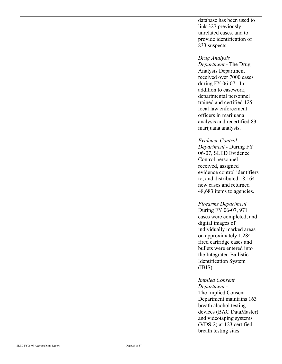| database has been used to    |
|------------------------------|
| link 327 previously          |
| unrelated cases, and to      |
| provide identification of    |
| 833 suspects.                |
|                              |
| Drug Analysis                |
| Department - The Drug        |
| Analysis Department          |
| received over 7000 cases     |
| during $FY$ 06-07. In        |
| addition to casework,        |
| departmental personnel       |
| trained and certified 125    |
| local law enforcement        |
| officers in marijuana        |
| analysis and recertified 83  |
| marijuana analysts.          |
|                              |
| <b>Evidence Control</b>      |
| Department - During FY       |
| 06-07, SLED Evidence         |
| Control personnel            |
| received, assigned           |
| evidence control identifiers |
| to, and distributed 18,164   |
| new cases and returned       |
| 48,683 items to agencies.    |

*Firearms Department –*  During FY 06-07, 971 cases were completed, and digital images of individually marked areas on approximately 1,284 fired cartridge cases and bullets were entered into the Integrated Ballistic Identification System (IBIS).

*Implied Consent Department -*  The Implied Consent Department maintains 163 breath alcohol testing devices (BAC DataMaster) and videotaping systems (VDS-2) at 123 certified breath testing sites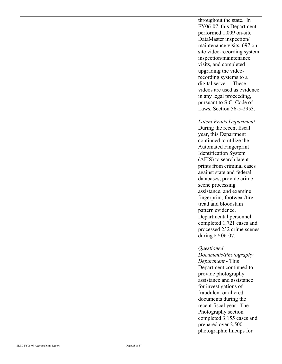|  | throughout the state. In<br>FY06-07, this Department<br>performed 1,009 on-site<br>DataMaster inspection/<br>maintenance visits, 697 on-<br>site video-recording system<br>inspection/maintenance<br>visits, and completed<br>upgrading the video-<br>recording systems to a<br>digital server. These<br>videos are used as evidence<br>in any legal proceeding,<br>pursuant to S.C. Code of<br>Laws, Section 56-5-2953.                                                                                                       |
|--|--------------------------------------------------------------------------------------------------------------------------------------------------------------------------------------------------------------------------------------------------------------------------------------------------------------------------------------------------------------------------------------------------------------------------------------------------------------------------------------------------------------------------------|
|  | Latent Prints Department-<br>During the recent fiscal<br>year, this Department<br>continued to utilize the<br><b>Automated Fingerprint</b><br><b>Identification System</b><br>(AFIS) to search latent<br>prints from criminal cases<br>against state and federal<br>databases, provide crime<br>scene processing<br>assistance, and examine<br>fingerprint, footwear/tire<br>tread and bloodstain<br>pattern evidence.<br>Departmental personnel<br>completed 1,721 cases and<br>processed 232 crime scenes<br>during FY06-07. |
|  | Questioned<br>Documents/Photography<br>Department - This<br>Department continued to<br>provide photography<br>assistance and assistance<br>for investigations of<br>fraudulent or altered<br>documents during the<br>recent fiscal year. The<br>Photography section<br>completed 3,155 cases and<br>prepared over 2,500<br>photographic lineups for                                                                                                                                                                            |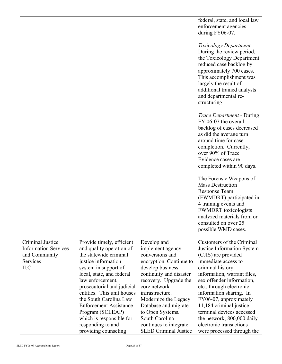|                                                 |                                                       |                                                        | federal, state, and local law<br>enforcement agencies<br>during FY06-07.<br>Toxicology Department -<br>During the review period,<br>the Toxicology Department<br>reduced case backlog by<br>approximately 700 cases.<br>This accomplishment was<br>largely the result of:<br>additional trained analysts<br>and departmental re-<br>structuring.<br><b>Trace Department - During</b><br>FY 06-07 the overall |
|-------------------------------------------------|-------------------------------------------------------|--------------------------------------------------------|--------------------------------------------------------------------------------------------------------------------------------------------------------------------------------------------------------------------------------------------------------------------------------------------------------------------------------------------------------------------------------------------------------------|
|                                                 |                                                       |                                                        | backlog of cases decreased<br>as did the average turn<br>around time for case<br>completion. Currently,<br>over 90% of Trace<br>Evidence cases are<br>completed within 90 days.                                                                                                                                                                                                                              |
|                                                 |                                                       |                                                        | The Forensic Weapons of<br><b>Mass Destruction</b><br>Response Team<br>(FWMDRT) participated in<br>4 training events and<br><b>FWMDRT</b> toxicologists<br>analyzed materials from or<br>consulted on over 25<br>possible WMD cases.                                                                                                                                                                         |
| Criminal Justice<br><b>Information Services</b> | Provide timely, efficient<br>and quality operation of | Develop and<br>implement agency                        | Customers of the Criminal<br>Justice Information System                                                                                                                                                                                                                                                                                                                                                      |
| and Community                                   | the statewide criminal                                | conversions and                                        | (CJIS) are provided                                                                                                                                                                                                                                                                                                                                                                                          |
| Services                                        | justice information                                   | encryption. Continue to                                | immediate access to                                                                                                                                                                                                                                                                                                                                                                                          |
| II.C                                            | system in support of                                  | develop business                                       | criminal history                                                                                                                                                                                                                                                                                                                                                                                             |
|                                                 | local, state, and federal<br>law enforcement,         | continuity and disaster<br>recovery. Upgrade the       | information, warrant files,<br>sex offender information,                                                                                                                                                                                                                                                                                                                                                     |
|                                                 | prosecutorial and judicial                            | core network                                           | etc., through electronic                                                                                                                                                                                                                                                                                                                                                                                     |
|                                                 | entities. This unit houses                            | infrastructure.                                        | information sharing. In                                                                                                                                                                                                                                                                                                                                                                                      |
|                                                 | the South Carolina Law                                | Modernize the Legacy                                   | FY06-07, approximately                                                                                                                                                                                                                                                                                                                                                                                       |
|                                                 | <b>Enforcement Assistance</b>                         | Database and migrate                                   | 11,184 criminal justice                                                                                                                                                                                                                                                                                                                                                                                      |
|                                                 | Program (SCLEAP)                                      | to Open Systems.                                       | terminal devices accessed                                                                                                                                                                                                                                                                                                                                                                                    |
|                                                 | which is responsible for                              | South Carolina                                         | the network; 800,000 daily                                                                                                                                                                                                                                                                                                                                                                                   |
|                                                 | responding to and<br>providing counseling             | continues to integrate<br><b>SLED</b> Criminal Justice | electronic transactions<br>were processed through the                                                                                                                                                                                                                                                                                                                                                        |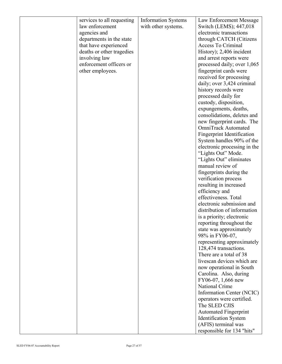| services to all requesting | <b>Information Systems</b> | Law Enforcement Message           |
|----------------------------|----------------------------|-----------------------------------|
| law enforcement            | with other systems.        | Switch (LEMS); 447,018            |
| agencies and               |                            | electronic transactions           |
| departments in the state   |                            | through CATCH (Citizens           |
| that have experienced      |                            | <b>Access To Criminal</b>         |
| deaths or other tragedies  |                            | History); 2,406 incident          |
| involving law              |                            | and arrest reports were           |
| enforcement officers or    |                            | processed daily; over 1,065       |
| other employees.           |                            | fingerprint cards were            |
|                            |                            | received for processing           |
|                            |                            | daily; over 3,424 criminal        |
|                            |                            | history records were              |
|                            |                            | processed daily for               |
|                            |                            | custody, disposition,             |
|                            |                            | expungements, deaths,             |
|                            |                            | consolidations, deletes and       |
|                            |                            | new fingerprint cards. The        |
|                            |                            | <b>OmniTrack Automated</b>        |
|                            |                            | <b>Fingerprint Identification</b> |
|                            |                            | System handles 90% of the         |
|                            |                            | electronic processing in the      |
|                            |                            | "Lights Out" Mode.                |
|                            |                            | "Lights Out" eliminates           |
|                            |                            | manual review of                  |
|                            |                            | fingerprints during the           |
|                            |                            | verification process              |
|                            |                            | resulting in increased            |
|                            |                            | efficiency and                    |
|                            |                            | effectiveness. Total              |
|                            |                            | electronic submission and         |
|                            |                            | distribution of information       |
|                            |                            | is a priority; electronic         |
|                            |                            | reporting throughout the          |
|                            |                            | state was approximately           |
|                            |                            | 98% in FY06-07,                   |
|                            |                            | representing approximately        |
|                            |                            | 128,474 transactions.             |
|                            |                            | There are a total of 38           |
|                            |                            | livescan devices which are        |
|                            |                            | now operational in South          |
|                            |                            | Carolina. Also, during            |
|                            |                            | FY06-07, 1,666 new                |
|                            |                            | National Crime                    |
|                            |                            | Information Center (NCIC)         |
|                            |                            | operators were certified.         |
|                            |                            | The SLED CJIS                     |
|                            |                            |                                   |
|                            |                            | <b>Automated Fingerprint</b>      |
|                            |                            | <b>Identification System</b>      |
|                            |                            | (AFIS) terminal was               |
|                            |                            | responsible for 134 "hits"        |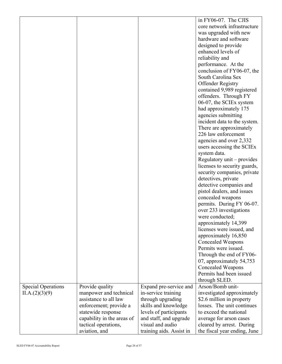|                           |                            |                          | in FY06-07. The CJIS                  |
|---------------------------|----------------------------|--------------------------|---------------------------------------|
|                           |                            |                          | core network infrastructure           |
|                           |                            |                          | was upgraded with new                 |
|                           |                            |                          | hardware and software                 |
|                           |                            |                          | designed to provide                   |
|                           |                            |                          | enhanced levels of                    |
|                           |                            |                          | reliability and                       |
|                           |                            |                          | performance. At the                   |
|                           |                            |                          | conclusion of FY06-07, the            |
|                           |                            |                          | South Carolina Sex                    |
|                           |                            |                          | <b>Offender Registry</b>              |
|                           |                            |                          | contained 9,989 registered            |
|                           |                            |                          | offenders. Through FY                 |
|                           |                            |                          | 06-07, the SCIEx system               |
|                           |                            |                          | had approximately 175                 |
|                           |                            |                          | agencies submitting                   |
|                           |                            |                          | incident data to the system.          |
|                           |                            |                          | There are approximately               |
|                           |                            |                          | 226 law enforcement                   |
|                           |                            |                          | agencies and over 2,332               |
|                           |                            |                          | users accessing the SCIE <sub>x</sub> |
|                           |                            |                          | system data.                          |
|                           |                            |                          | Regulatory unit – provides            |
|                           |                            |                          | licenses to security guards,          |
|                           |                            |                          | security companies, private           |
|                           |                            |                          | detectives, private                   |
|                           |                            |                          | detective companies and               |
|                           |                            |                          | pistol dealers, and issues            |
|                           |                            |                          | concealed weapons                     |
|                           |                            |                          | permits. During FY 06-07.             |
|                           |                            |                          | over 233 investigations               |
|                           |                            |                          | were conducted;                       |
|                           |                            |                          |                                       |
|                           |                            |                          | approximately 14,399                  |
|                           |                            |                          | licenses were issued, and             |
|                           |                            |                          | approximately 16,850                  |
|                           |                            |                          | <b>Concealed Weapons</b>              |
|                           |                            |                          | Permits were issued.                  |
|                           |                            |                          | Through the end of FY06-              |
|                           |                            |                          | 07, approximately 54,753              |
|                           |                            |                          | Concealed Weapons                     |
|                           |                            |                          | Permits had been issued               |
|                           |                            |                          | through SLED.                         |
| <b>Special Operations</b> | Provide quality            | Expand pre-service and   | Arson/Bomb unit-                      |
| II.A.(2)(3)(9)            | manpower and technical     | in-service training      | investigated approximately            |
|                           | assistance to all law      | through upgrading        | \$2.6 million in property             |
|                           | enforcement; provide a     | skills and knowledge     | losses. The unit continues            |
|                           | statewide response         | levels of participants   | to exceed the national                |
|                           | capability in the areas of | and staff, and upgrade   | average for arson cases               |
|                           | tactical operations,       | visual and audio         | cleared by arrest. During             |
|                           | aviation, and              | training aids. Assist in | the fiscal year ending, June          |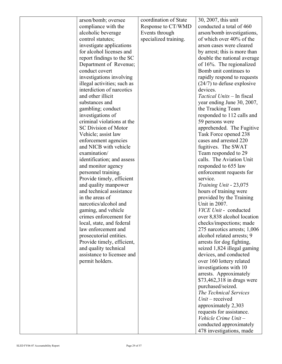| arson/bomb; oversee         | coordination of State | 30, 2007, this unit               |
|-----------------------------|-----------------------|-----------------------------------|
| compliance with the         | Response to CT/WMD    | conducted a total of 460          |
| alcoholic beverage          | Events through        | arson/bomb investigations,        |
| control statutes;           | specialized training. | of which over 40% of the          |
| investigate applications    |                       | arson cases were cleared          |
| for alcohol licenses and    |                       | by arrest; this is more than      |
| report findings to the SC   |                       | double the national average       |
| Department of Revenue;      |                       | of 16%. The regionalized          |
| conduct covert              |                       | Bomb unit continues to            |
| investigations involving    |                       | rapidly respond to requests       |
| illegal activities; such as |                       | $(24/7)$ to defuse explosive      |
| interdiction of narcotics   |                       | devices.                          |
| and other illicit           |                       | <i>Tactical Units</i> – In fiscal |
| substances and              |                       | year ending June 30, 2007,        |
| gambling; conduct           |                       | the Tracking Team                 |
| investigations of           |                       | responded to 112 calls and        |
| criminal violations at the  |                       | 59 persons were                   |
| SC Division of Motor        |                       | apprehended. The Fugitive         |
| Vehicle; assist law         |                       | Task Force opened 238             |
| enforcement agencies        |                       | cases and arrested 220            |
| and NICB with vehicle       |                       | fugitives. The SWAT               |
| examination/                |                       | Team responded to 29              |
| identification; and assess  |                       | calls. The Aviation Unit          |
| and monitor agency          |                       | responded to 655 law              |
| personnel training.         |                       | enforcement requests for          |
| Provide timely, efficient   |                       | service.                          |
| and quality manpower        |                       | Training Unit - 23,075            |
| and technical assistance    |                       | hours of training were            |
| in the areas of             |                       | provided by the Training          |
| narcotics/alcohol and       |                       | Unit in 2007.                     |
| gaming, and vehicle         |                       | VICE Unit - conducted             |
| crimes enforcement for      |                       | over 8,838 alcohol location       |
| local, state, and federal   |                       | checks/inspections; made          |
| law enforcement and         |                       | 275 narcotics arrests; 1,006      |
| prosecutorial entities.     |                       | alcohol related arrests; 9        |
| Provide timely, efficient,  |                       | arrests for dog fighting,         |
| and quality technical       |                       | seized 1,824 illegal gaming       |
| assistance to licensee and  |                       | devices, and conducted            |
| permit holders.             |                       | over 160 lottery related          |
|                             |                       | investigations with 10            |
|                             |                       | arrests. Approximately            |
|                             |                       | \$73,462,318 in drugs were        |
|                             |                       | purchased/seized.                 |
|                             |                       | The Technical Services            |
|                             |                       | $Unit$ – received                 |
|                             |                       | approximately 2,303               |
|                             |                       | requests for assistance.          |
|                             |                       | Vehicle Crime Unit-               |
|                             |                       | conducted approximately           |
|                             |                       | 478 investigations, made          |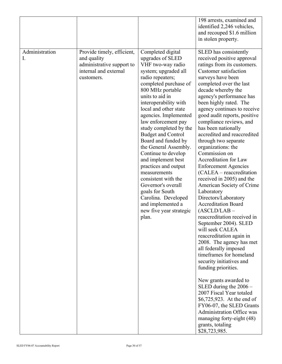|                      |                                                                                                               |                                                                                                                                                                                                                                                                                                                                                                                                                                                                                                                                                                                                                      | 198 arrests, examined and<br>identified 2,246 vehicles,<br>and recouped \$1.6 million<br>in stolen property.                                                                                                                                                                                                                                                                                                                                                                                                                                                                                                                                                                                                                                                                                                                                                                                                                                                                                                                                                                                                                                                                          |
|----------------------|---------------------------------------------------------------------------------------------------------------|----------------------------------------------------------------------------------------------------------------------------------------------------------------------------------------------------------------------------------------------------------------------------------------------------------------------------------------------------------------------------------------------------------------------------------------------------------------------------------------------------------------------------------------------------------------------------------------------------------------------|---------------------------------------------------------------------------------------------------------------------------------------------------------------------------------------------------------------------------------------------------------------------------------------------------------------------------------------------------------------------------------------------------------------------------------------------------------------------------------------------------------------------------------------------------------------------------------------------------------------------------------------------------------------------------------------------------------------------------------------------------------------------------------------------------------------------------------------------------------------------------------------------------------------------------------------------------------------------------------------------------------------------------------------------------------------------------------------------------------------------------------------------------------------------------------------|
| Administration<br>I. | Provide timely, efficient,<br>and quality<br>administrative support to<br>internal and external<br>customers. | Completed digital<br>upgrades of SLED<br>VHF two-way radio<br>system; upgraded all<br>radio repeaters;<br>completed purchase of<br>800 MHz portable<br>units to aid in<br>interoperability with<br>local and other state<br>agencies. Implemented<br>law enforcement pay<br>study completed by the<br><b>Budget and Control</b><br>Board and funded by<br>the General Assembly.<br>Continue to develop<br>and implement best<br>practices and output<br>measurements<br>consistent with the<br>Governor's overall<br>goals for South<br>Carolina. Developed<br>and implemented a<br>new five year strategic<br>plan. | SLED has consistently<br>received positive approval<br>ratings from its customers.<br>Customer satisfaction<br>surveys have been<br>completed over the last<br>decade whereby the<br>agency's performance has<br>been highly rated. The<br>agency continues to receive<br>good audit reports, positive<br>compliance reviews, and<br>has been nationally<br>accredited and reaccredited<br>through two separate<br>organizations: the<br>Commission on<br>Accreditation for Law<br><b>Enforcement Agencies</b><br>(CALEA – reaccreditation<br>received in 2005) and the<br>American Society of Crime<br>Laboratory<br>Directors/Laboratory<br><b>Accreditation Board</b><br>$(ASCIIDLAB -$<br>reaccreditation received in<br>September 2004). SLED<br>will seek CALEA<br>reaccreditation again in<br>2008. The agency has met<br>all federally imposed<br>timeframes for homeland<br>security initiatives and<br>funding priorities.<br>New grants awarded to<br>SLED during the $2006 -$<br>2007 Fiscal Year totaled<br>\$6,725,923. At the end of<br>FY06-07, the SLED Grants<br><b>Administration Office was</b><br>managing forty-eight (48)<br>grants, totaling<br>\$28,723,985. |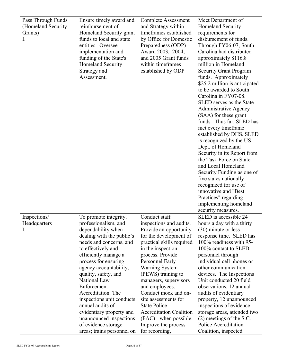| Pass Through Funds | Ensure timely award and    | <b>Complete Assessment</b>     | Meet Department of                              |
|--------------------|----------------------------|--------------------------------|-------------------------------------------------|
| (Homeland Security | reimbursement of           | and Strategy within            | Homeland Security                               |
| Grants)            | Homeland Security grant    | timeframes established         | requirements for                                |
| I.                 | funds to local and state   | by Office for Domestic         | disbursement of funds.                          |
|                    | entities. Oversee          | Preparedness (ODP)             | Through FY06-07, South                          |
|                    | implementation and         | Award 2003, 2004,              | Carolina had distributed                        |
|                    | funding of the State's     | and 2005 Grant funds           | approximately \$116.8                           |
|                    | Homeland Security          | within timeframes              | million in Homeland                             |
|                    | Strategy and               | established by ODP             | <b>Security Grant Program</b>                   |
|                    | Assessment.                |                                | funds. Approximately                            |
|                    |                            |                                | \$25.2 million is anticipated                   |
|                    |                            |                                | to be awarded to South                          |
|                    |                            |                                | Carolina in FY07-08.                            |
|                    |                            |                                | SLED serves as the State                        |
|                    |                            |                                | <b>Administrative Agency</b>                    |
|                    |                            |                                | (SAA) for these grant                           |
|                    |                            |                                | funds. Thus far, SLED has                       |
|                    |                            |                                |                                                 |
|                    |                            |                                | met every timeframe<br>established by DHS. SLED |
|                    |                            |                                | is recognized by the US                         |
|                    |                            |                                | Dept. of Homeland                               |
|                    |                            |                                | Security in its Report from                     |
|                    |                            |                                | the Task Force on State                         |
|                    |                            |                                |                                                 |
|                    |                            |                                | and Local Homeland                              |
|                    |                            |                                | Security Funding as one of                      |
|                    |                            |                                | five states nationally                          |
|                    |                            |                                | recognized for use of                           |
|                    |                            |                                | innovative and "Best                            |
|                    |                            |                                | Practices" regarding                            |
|                    |                            |                                | implementing homeland                           |
|                    |                            |                                | security measures.                              |
| Inspections/       | To promote integrity,      | Conduct staff                  | SLED is accessible 24                           |
| Headquarters       | professionalism, and       | inspections and audits.        | hours a day with a thirty                       |
| I.                 | dependability when         | Provide an opportunity         | $(30)$ minute or less                           |
|                    | dealing with the public's  | for the development of         | response time. SLED has                         |
|                    | needs and concerns, and    | practical skills required      | 100% readiness with 95-                         |
|                    | to effectively and         | in the inspection              | 100% contact to SLED                            |
|                    | efficiently manage a       | process. Provide               | personnel through                               |
|                    | process for ensuring       | Personnel Early                | individual cell phones or                       |
|                    | agency accountability,     | <b>Warning System</b>          | other communication                             |
|                    | quality, safety, and       | (PEWS) training to             | devices. The Inspections                        |
|                    | National Law               | managers, supervisors          | Unit conducted 20 field                         |
|                    | Enforcement                | and employees.                 | observations, 12 annual                         |
|                    | Accreditation. The         | Conduct mock and on-           | audits of evidentiary                           |
|                    | inspections unit conducts  | site assessments for           | property, 12 unannounced                        |
|                    | annual audits of           | <b>State Police</b>            | inspections of evidence                         |
|                    | evidentiary property and   | <b>Accreditation Coalition</b> | storage areas, attended two                     |
|                    | unannounced inspections    | (PAC) - when possible.         | $(2)$ meetings of the S.C.                      |
|                    | of evidence storage        | Improve the process            | Police Accreditation                            |
|                    | areas; trains personnel on | for recording,                 | Coalition, inspected                            |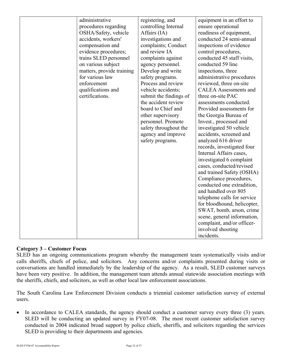| administrative<br>equipment in an effort to<br>registering, and           |                            |
|---------------------------------------------------------------------------|----------------------------|
| procedures regarding<br>controlling Internal<br>ensure operational        |                            |
| OSHA/Safety, vehicle<br>Affairs (IA)<br>readiness of equipment,           |                            |
| conducted 24 semi-annual<br>accidents, workers'<br>investigations and     |                            |
| complaints; Conduct<br>inspections of evidence<br>compensation and        |                            |
| and review IA<br>evidence procedures;<br>control procedures,              |                            |
| trains SLED personnel<br>complaints against<br>conducted 45 staff visits, |                            |
| conducted 59 line<br>on various subject<br>agency personnel.              |                            |
| Develop and write<br>inspections, three<br>matters, provide training      |                            |
| for various law<br>safety programs.<br>administrative procedures          |                            |
| enforcement<br>Process and review<br>reviewed, three on-site              |                            |
| qualifications and<br>vehicle accidents;<br><b>CALEA</b> Assessments and  |                            |
| certifications.<br>three on-site PAC<br>submit the findings of            |                            |
| the accident review<br>assessments conducted.                             |                            |
| board to Chief and<br>Provided assessments for                            |                            |
| other supervisory<br>the Georgia Bureau of                                |                            |
| personnel. Promote<br>Invest., processed and                              |                            |
| safety throughout the<br>investigated 50 vehicle                          |                            |
| agency and improve<br>accidents, screened and                             |                            |
| safety programs.<br>analyzed 616 driver                                   |                            |
| records, investigated four                                                |                            |
| Internal Affairs cases,                                                   |                            |
| investigated 6 complaint                                                  |                            |
| cases, conducted/revised                                                  |                            |
| and trained Safety (OSHA)                                                 |                            |
| Compliance procedures,                                                    |                            |
| conducted one extradition,                                                |                            |
| and handled over 805                                                      |                            |
| telephone calls for service                                               |                            |
| for bloodhound, helicopter,                                               |                            |
| SWAT, bomb, arson, crime                                                  |                            |
| scene, general information,                                               |                            |
|                                                                           |                            |
|                                                                           |                            |
| involved shooting                                                         | complaint, and/or officer- |

#### **Category 3 – Customer Focus**

SLED has an ongoing communications program whereby the management team systematically visits and/or calls sheriffs, chiefs of police, and solicitors. Any concerns and/or complaints presented during visits or conversations are handled immediately by the leadership of the agency. As a result, SLED customer surveys have been very positive. In addition, the management team attends annual statewide association meetings with the sheriffs, chiefs, and solicitors, as well as other local law enforcement associations.

The South Carolina Law Enforcement Division conducts a triennial customer satisfaction survey of external users.

• In accordance to CALEA standards, the agency should conduct a customer survey every three (3) years. SLED will be conducting an updated survey in FY07-08. The most recent customer satisfaction survey conducted in 2004 indicated broad support by police chiefs, sheriffs, and solicitors regarding the services SLED is providing to their departments and agencies.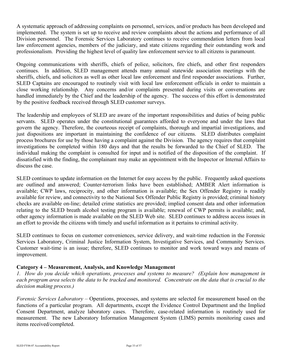A systematic approach of addressing complaints on personnel, services, and/or products has been developed and implemented. The system is set up to receive and review complaints about the actions and performance of all Division personnel. The Forensic Services Laboratory continues to receive commendation letters from local law enforcement agencies, members of the judiciary, and state citizens regarding their outstanding work and professionalism. Providing the highest level of quality law enforcement service to all citizens is paramount.

Ongoing communications with sheriffs, chiefs of police, solicitors, fire chiefs, and other first responders continues. In addition, SLED management attends many annual statewide association meetings with the sheriffs, chiefs, and solicitors as well as other local law enforcement and first responder associations. Further, SLED Captains are encouraged to routinely visit with local law enforcement officials in order to maintain a close working relationship. Any concerns and/or complaints presented during visits or conversations are handled immediately by the Chief and the leadership of the agency. The success of this effort is demonstrated by the positive feedback received through SLED customer surveys.

The leadership and employees of SLED are aware of the important responsibilities and duties of being public servants. SLED operates under the constitutional guarantees afforded to everyone and under the laws that govern the agency. Therefore, the courteous receipt of complaints, thorough and impartial investigations, and just dispositions are important in maintaining the confidence of our citizens. SLED distributes complaint process brochures for use by those having a complaint against the Division. The agency requires that complaint investigations be completed within 180 days and that the results be forwarded to the Chief of SLED. The individual making the complaint is consulted for input and is notified of the disposition of the complaint. If dissatisfied with the finding, the complainant may make an appointment with the Inspector or Internal Affairs to discuss the case.

SLED continues to update information on the Internet for easy access by the public. Frequently asked questions are outlined and answered; Counter-terrorism links have been established; AMBER Alert information is available; CWP laws, reciprocity, and other information is available; the Sex Offender Registry is readily available for review, and connectivity to the National Sex Offender Public Registry is provided; criminal history checks are available on-line; detailed crime statistics are provided; implied consent data and other information relating to the SLED breath alcohol testing program is available; renewal of CWP permits is available; and, other agency information is made available on the SLED Web site. SLED continues to address access issues in an effort to provide the citizens with timely and useful information as it pertains to criminal activity.

SLED continues to focus on customer conveniences, service delivery, and wait-time reduction in the Forensic Services Laboratory, Criminal Justice Information System, Investigative Services, and Community Services. Customer wait-time is an issue; therefore, SLED continues to monitor and work toward ways and means of improvement.

# **Category 4 – Measurement, Analysis, and Knowledge Management**

*1. How do you decide which operations, processes and systems to measure? (Explain how management in each program area selects the data to be tracked and monitored. Concentrate on the data that is crucial to the decision making process.)* 

*Forensic Services Laboratory –* Operations, processes, and systems are selected for measurement based on the functions of a particular program. All departments, except the Evidence Control Department and the Implied Consent Department, analyze laboratory cases. Therefore, case-related information is routinely used for measurement. The new Laboratory Information Management System (LIMS) permits monitoring cases and items received/completed.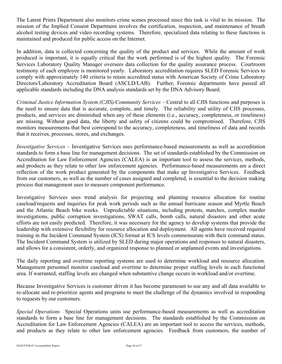The Latent Prints Department also monitors crime scenes processed since this task is vital to its mission. The mission of the Implied Consent Department involves the certification, inspection, and maintenance of breath alcohol testing devices and video recording systems. Therefore, specialized data relating to these functions is maintained and produced for public access on the Internet.

In addition, data is collected concerning the quality of the product and services. While the amount of work produced is important, it is equally critical that the work performed is of the highest quality. The Forensic Services Laboratory Quality Manager oversees data collection for the quality assurance process. Courtroom testimony of each employee is monitored yearly. Laboratory accreditation requires SLED Forensic Services to comply with approximately 140 criteria to retain accredited status with American Society of Crime Laboratory Directors/Laboratory Accreditation Board (ASCLD/LAB). Further, Forensic departments have passed all applicable standards including the DNA analysis standards set by the DNA Advisory Board.

*Criminal Justice Information System (CJIS)/Community Services – Central to all CJIS functions and purposes is* the need to ensure data that is accurate, complete, and timely. The reliability and utility of CJIS processes, products, and services are diminished when any of these elements (i.e., accuracy, completeness, or timeliness) are missing. Without good data, the liberty and safety of citizens could be compromised. Therefore, CJIS monitors measurements that best correspond to the accuracy, completeness, and timeliness of data and records that it receives, processes, stores, and exchanges.

*Investigative Services –* Investigative Services uses performance-based measurements as well as accreditation standards to form a base line for management decisions. The set of standards established by the Commission on Accreditation for Law Enforcement Agencies (CALEA) is an important tool to assess the services, methods, and products as they relate to other law enforcement agencies. Performance-based measurements are a direct reflection of the work product generated by the components that make up Investigative Services. Feedback from our customers, as well as the number of cases assigned and completed, is essential to the decision making process that management uses to measure component performance.

Investigative Services uses trend analysis for projecting and planning resource allocation for routine caseload/requests and inquiries for peak work periods such as the annual hurricane season and Myrtle Beach and the Atlantic Beach bike weeks. Unpredictable situations, including protests, marches, complex murder investigations, public corruption investigations, SWAT calls, bomb calls, natural disasters and other acute efforts are not easily predicted. Therefore, it was necessary for the agency to develop systems that provide the leadership with extensive flexibility for resource allocation and deployment. All agents have received required training in the Incident Command System (ICS) format at ICS levels commensurate with their command status. The Incident Command System is utilized by SLED during major operations and responses to natural disasters, and allows for a consistent, orderly, and organized response to planned or unplanned events and investigations.

The daily reporting and overtime reporting systems are used to determine workload and resource allocation. Management personnel monitor caseload and overtime to determine proper staffing levels in each functional area. If warranted, staffing levels are changed when substantive change occurs in workload and/or overtime.

Because Investigative Services is customer driven it has become paramount to use any and all data available to re-allocate and re-prioritize agents and programs to meet the challenge of the dynamics involved in responding to requests by our customers.

*Special Operations* – Special Operations units use performance-based measurements as well as accreditation standards to form a base line for management decisions. The standards established by the Commission on Accreditation for Law Enforcement Agencies (CALEA) are an important tool to access the services, methods, and products as they relate to other law enforcement agencies. Feedback from customers, the number of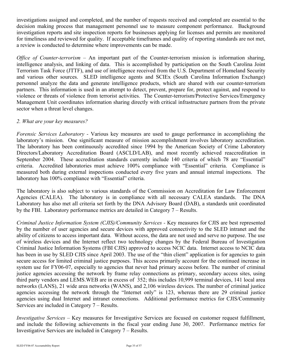investigations assigned and completed, and the number of requests received and completed are essential to the decision making process that management personnel use to measure component performance. Background investigation reports and site inspection reports for businesses applying for licenses and permits are monitored for timeliness and reviewed for quality. If acceptable timeframes and quality of reporting standards are not met, a review is conducted to determine where improvements can be made.

*Office of Counter-terrorism – An important part of the Counter-terrorism mission is information sharing,* intelligence analysis, and linking of data. This is accomplished by participation on the South Carolina Joint Terrorism Task Force (JTTF), and use of intelligence received from the U.S. Department of Homeland Security and various other sources. SLED intelligence agents and SCIEx (South Carolina Information Exchange) personnel analyze the data and generate intelligence products, which are shared with our counter-terrorism partners. This information is used in an attempt to detect, prevent, prepare for, protect against, and respond to violence or threats of violence from terrorist activities. The Counter-terrorism/Protective Services/Emergency Management Unit coordinates information sharing directly with critical infrastructure partners from the private sector when a threat level changes.

# *2. What are your key measures?*

*Forensic Services Laboratory -* Various key measures are used to gauge performance in accomplishing the laboratory's mission. One significant measure of mission accomplishment involves laboratory accreditation. The laboratory has been continuously accredited since 1994 by the American Society of Crime Laboratory Directors/Laboratory Accreditation Board (ASCLD/LAB), and most recently achieved reaccreditation in September 2004. These accreditation standards currently include 140 criteria of which 78 are "Essential" criteria. Accredited laboratories must achieve 100% compliance with "Essential" criteria. Compliance is measured both during external inspections conducted every five years and annual internal inspections. The laboratory has 100% compliance with "Essential" criteria.

The laboratory is also subject to various standards of the Commission on Accreditation for Law Enforcement Agencies (CALEA). The laboratory is in compliance with all necessary CALEA standards. The DNA Laboratory has also met all criteria set forth by the DNA Advisory Board (DAB), a standards unit coordinated by the FBI. Laboratory performance metrics are detailed in Category 7 – Results.

*Criminal Justice Information System (CJIS)/Community Services -* Key measures for CJIS are best represented by the number of user agencies and secure devices with approved connectivity to the SLED intranet and the ability of citizens to access important data. Without access, the data are not used and serve no purpose. The use of wireless devices and the Internet reflect two technology changes by the Federal Bureau of Investigation Criminal Justice Information Systems (FBI CJIS) approved to access NCIC data. Internet access to NCIC data has been in use by SLED CJIS since April 2003. The use of the "thin client" application is for agencies to gain secure access for limited criminal justice purposes. This access primarily account for the continued increase in system use for FY06-07, especially to agencies that never had primary access before. The number of criminal justice agencies accessing the network by frame relay connections as primary, secondary access sites, using third party vendors and LEMS.WEB are in excess of 352; this includes 10,999 terminal devices, 141 local area networks (LANS), 21 wide area networks (WANS), and 2,106 wireless devices. The number of criminal justice agencies accessing the network through the "Internet only" is 123, whereas there are 29 criminal justice agencies using dual Internet and intranet connections. Additional performance metrics for CJIS/Community Services are included in Category 7 – Results.

*Investigative Services* – Key measures for Investigative Services are focused on customer request fulfillment, and include the following achievements in the fiscal year ending June 30, 2007. Performance metrics for Investigative Services are included in Category 7 – Results.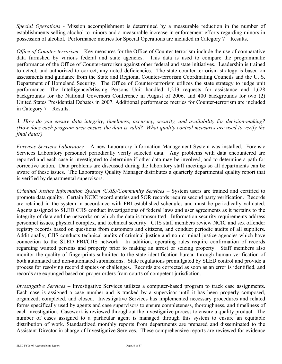*Special Operations -* Mission accomplishment is determined by a measurable reduction in the number of establishments selling alcohol to minors and a measurable increase in enforcement efforts regarding minors in possession of alcohol. Performance metrics for Special Operations are included in Category 7 – Results.

*Office of Counter-terrorism –* Key measures for the Office of Counter-terrorism include the use of comparative data furnished by various federal and state agencies. This data is used to compare the programmatic performance of the Office of Counter-terrorism against other federal and state initiatives. Leadership is trained to detect, and authorized to correct, any noted deficiencies. The state counter-terrorism strategy is based on assessments and guidance from the State and Regional Counter-terrorism Coordinating Councils and the U. S. Department of Homeland Security. The Office of Counter-terrorism utilizes the state strategy to judge unit performance. The Intelligence/Missing Persons Unit handled 1,213 requests for assistance and 1,628 backgrounds for the National Governors Conference in August of 2006, and 400 backgrounds for two (2) United States Presidential Debates in 2007. Additional performance metrics for Counter-terrorism are included in Category 7 – Results.

*3. How do you ensure data integrity, timeliness, accuracy, security, and availability for decision-making? (How does each program area ensure the data is valid? What quality control measures are used to verify the final data?)* 

*Forensic Services Laboratory –* A new Laboratory Information Management System was installed. Forensic Services Laboratory personnel periodically verify selected data. Any problems with data encountered are reported and each case is investigated to determine if other data may be involved, and to determine a path for corrective action. Data problems are discussed during the laboratory staff meetings so all departments can be aware of these issues. The Laboratory Quality Manager distributes a quarterly departmental quality report that is verified by departmental supervisors.

*Criminal Justice Information System (CJIS)/Community Services – System users are trained and certified to* promote data quality. Certain NCIC record entries and SOR records require second party verification. Records are retained in the system in accordance with FBI established schedules and must be periodically validated. Agents assigned to SLED CJIS conduct investigations of federal laws and user agreements as it pertains to the integrity of data and the networks on which the data is transmitted. Information security requirements address personnel issues, physical complex, and technical security. CJIS staff members review NCIC and sex offender registry records based on questions from customers and citizens, and conduct periodic audits of all suppliers. Additionally, CJIS conducts technical audits of criminal justice and non-criminal justice agencies which have connection to the SLED FBI/CJIS network. In addition, operating rules require confirmation of records regarding wanted persons and property prior to making an arrest or seizing property. Staff members also monitor the quality of fingerprints submitted to the state identification bureau through human verification of both automated and non-automated submissions. State regulations promulgated by SLED control and provide a process for resolving record disputes or challenges. Records are corrected as soon as an error is identified, and records are expunged based on proper orders from courts of competent jurisdiction.

*Investigative Services –* Investigative Services utilizes a computer-based program to track case assignments. Each case is assigned a case number and is tracked by a supervisor until it has been properly composed, organized, completed, and closed. Investigative Services has implemented necessary procedures and related forms specifically used by agents and case supervisors to ensure completeness, thoroughness, and timeliness of each investigation. Casework is reviewed throughout the investigative process to ensure a quality product. The number of cases assigned to a particular agent is managed through this system to ensure an equitable distribution of work. Standardized monthly reports from departments are prepared and disseminated to the Assistant Director in charge of Investigative Services. These comprehensive reports are reviewed for evidence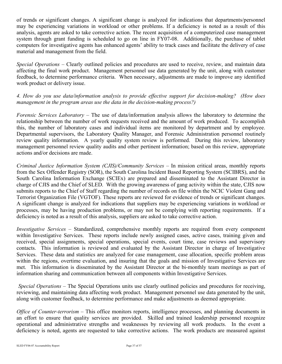of trends or significant changes. A significant change is analyzed for indications that departments/personnel may be experiencing variations in workload or other problems. If a deficiency is noted as a result of this analysis, agents are asked to take corrective action. The recent acquisition of a computerized case management system through grant funding is scheduled to go on line in FY07-08. Additionally, the purchase of tablet computers for investigative agents has enhanced agents' ability to track cases and facilitate the delivery of case material and management from the field.

*Special Operations –* Clearly outlined policies and procedures are used to receive, review, and maintain data affecting the final work product. Management personnel use data generated by the unit, along with customer feedback, to determine performance criteria. When necessary, adjustments are made to improve any identified work product or delivery issue.

#### *4. How do you use data/information analysis to provide effective support for decision-making? (How does management in the program areas use the data in the decision-making process?)*

*Forensic Services Laboratory –* The use of data/information analysis allows the laboratory to determine the relationship between the number of work requests received and the amount of work produced. To accomplish this, the number of laboratory cases and individual items are monitored by department and by employee. Departmental supervisors, the Laboratory Quality Manager, and Forensic Administration personnel routinely review quality information. A yearly quality system review is performed. During this review, laboratory management personnel review quality audits and other pertinent information; based on this review, appropriate actions and/or decisions are made.

*Criminal Justice Information System (CJIS)/Community Services – In mission critical areas, monthly reports* from the Sex Offender Registry (SOR), the South Carolina Incident Based Reporting System (SCIBRS), and the South Carolina Information Exchange (SCIEx) are prepared and disseminated to the Assistant Director in charge of CJIS and the Chief of SLED. With the growing awareness of gang activity within the state, CJIS now submits reports to the Chief of Staff regarding the number of records on file within the NCIC Violent Gang and Terrorist Organization File (VGTOF). These reports are reviewed for evidence of trends or significant changes. A significant change is analyzed for indications that suppliers may be experiencing variations in workload or processes, may be having production problems, or may not be complying with reporting requirements. If a deficiency is noted as a result of this analysis, suppliers are asked to take corrective action.

*Investigative Services* – Standardized, comprehensive monthly reports are required from every component within Investigative Services. These reports include newly assigned cases, active cases, training given and received, special assignments, special operations, special events, court time, case reviews and supervisory contacts. This information is reviewed and evaluated by the Assistant Director in charge of Investigative Services. These data and statistics are analyzed for case management, case allocation, specific problem areas within the regions, overtime evaluation, and insuring that the goals and mission of Investigative Services are met. This information is disseminated by the Assistant Director at the bi-monthly team meetings as part of information sharing and communication between all components within Investigative Services.

 *Special Operations –* The Special Operations units use clearly outlined policies and procedures for receiving, reviewing, and maintaining data affecting work product. Management personnel use data generated by the unit, along with customer feedback, to determine performance and make adjustments as deemed appropriate.

*Office of Counter-terrorism* – This office monitors reports, intelligence processes, and planning documents in an effort to ensure that quality services are provided. Skilled and trained leadership personnel recognize operational and administrative strengths and weaknesses by reviewing all work products. In the event a deficiency is noted, agents are requested to take corrective actions. The work products are measured against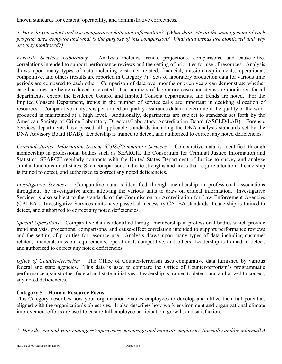known standards for content, operability, and administrative correctness.

*5. How do you select and use comparative data and information? (What data sets do the management of each program area compare and what is the purpose of this comparison? What data trends are monitored and why are they monitored?)* 

*Forensic Services Laboratory –* Analysis includes trends, projections, comparisons, and cause-effect correlations intended to support performance reviews and the setting of priorities for use of resources. Analysis draws upon many types of data including customer related, financial, mission requirements, operational, competitive, and others (results are reported in Category 7). Sets of laboratory production data for various time periods are compared to each other. Comparison of data over months or even years can demonstrate whether case backlogs are being reduced or created. The numbers of laboratory cases and items are monitored for all departments, except the Evidence Control and Implied Consent departments, and trends are noted. For the Implied Consent Department, trends in the number of service calls are important in deciding allocation of resources. Comparative analysis is performed on quality assurance data to determine if the quality of the work produced is maintained at a high level. Additionally, departments are subject to standards set forth by the American Society of Crime Laboratory Directors/Laboratory Accreditation Board (ASCLD/LAB). Forensic Services departments have passed all applicable standards including the DNA analysis standards set by the DNA Advisory Board (DAB). Leadership is trained to detect, and authorized to correct any noted deficiencies.

*Criminal Justice Information System (CJIS)/Community Services – Comparative data is identified through* membership in professional bodies such as SEARCH, the Consortium for Criminal Justice Information and Statistics. SEARCH regularly contracts with the United States Department of Justice to survey and analyze similar functions in all states. Such comparisons indicate strengths and areas that require attention. Leadership is trained to detect, and authorized to correct any noted deficiencies.

*Investigative Services –* Comparative data is identified through membership in professional associations throughout the investigative arena allowing the various units to draw on critical information. Investigative Services is also subject to the standards of the Commission on Accreditation for Law Enforcement Agencies (CALEA). Investigative Services units have passed all necessary CALEA standards. Leadership is trained to detect, and authorized to correct any noted deficiencies.

*Special Operations –* Comparative data is identified through membership in professional bodies which provide trend analysis, projections, comparisons, and cause-effect correlation intended to support performance reviews and the setting of priorities for resource use. Analysis draws upon many types of data including customer related, financial, mission requirements, operational, competitive, and others. Leadership is trained to detect, and authorized to correct any noted deficiencies.

*Office of Counter-terrorism – The Office of Counter-terrorism uses comparative data furnished by various* federal and state agencies. This data is used to compare the Office of Counter-terrorism's programmatic performance against other federal and state initiatives. Leadership is trained to detect, and authorized to correct, any noted deficiencies.

#### **Category 5 – Human Resource Focus**

This Category describes how your organization enables employees to develop and utilize their full potential, aligned with the organization's objectives. It also describes how work environment and organizational climate improvement efforts are used to ensure full employee participation, growth, and satisfaction.

*1. How do you and your managers/supervisors encourage and motivate employees (formally and/or informally)*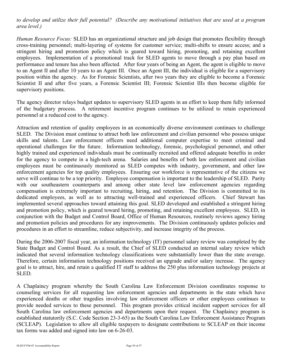*to develop and utilize their full potential? (Describe any motivational initiatives that are used at a program area level.)* 

*Human Resource Focus:* SLED has an organizational structure and job design that promotes flexibility through cross-training personnel; multi-layering of systems for customer service; multi-shifts to ensure access; and a stringent hiring and promotion policy which is geared toward hiring, promoting, and retaining excellent employees. Implementation of a promotional track for SLED agents to move through a pay plan based on performance and tenure has also been affected. After four years of being an Agent, the agent is eligible to move to an Agent II and after 10 years to an Agent III. Once an Agent III, the individual is eligible for a supervisory position within the agency. As for Forensic Scientists, after two years they are eligible to become a Forensic Scientist II and after five years, a Forensic Scientist III; Forensic Scientist IIIs then become eligible for supervisory positions.

The agency director relays budget updates to supervisory SLED agents in an effort to keep them fully informed of the budgetary process. A retirement incentive program continues to be utilized to retain experienced personnel at a reduced cost to the agency.

Attraction and retention of quality employees in an economically diverse environment continues to challenge SLED. The Division must continue to attract both law enforcement and civilian personnel who possess unique skills and talents. Law enforcement officers need additional computer expertise to meet criminal and operational challenges for the future. Information technology, forensic, psychological personnel, and other highly trained and experienced individuals must be continually recruited and offered adequate benefits in order for the agency to compete in a high-tech arena. Salaries and benefits of both law enforcement and civilian employees must be continuously monitored as SLED competes with industry, government, and other law enforcement agencies for top quality employees. Ensuring our workforce is representative of the citizens we serve will continue to be a top priority. Employee compensation is important to the leadership of SLED. Parity with our southeastern counterparts and among other state level law enforcement agencies regarding compensation is extremely important to recruiting, hiring, and retention. The Division is committed to its dedicated employees, as well as to attracting well-trained and experienced officers. Chief Stewart has implemented several approaches toward attaining this goal. SLED developed and established a stringent hiring and promotion policy, which is geared toward hiring, promoting, and retaining excellent employees. SLED, in conjunction with the Budget and Control Board, Office of Human Resources, routinely reviews agency hiring and promotion policies and procedures for any improvements. The Division continuously updates policies and procedures in an effort to streamline, reduce subjectivity, and increase integrity of the process.

During the 2006-2007 fiscal year, an information technology (IT) personnel salary review was completed by the State Budget and Control Board. As a result, the Chief of SLED conducted an internal salary review which indicated that several information technology classifications were substantially lower than the state average. Therefore, certain information technology positions received an upgrade and/or salary increase. The agency goal is to attract, hire, and retain a qualified IT staff to address the 250 plus information technology projects at SLED.

A Chaplaincy program whereby the South Carolina Law Enforcement Division coordinates response to counseling services for all requesting law enforcement agencies and departments in the state which have experienced deaths or other tragedies involving law enforcement officers or other employees continues to provide needed services to these personnel. This program provides critical incident support services for all South Carolina law enforcement agencies and departments upon their request. The Chaplaincy program is established statutorily (S.C. Code Section 23-3-65) as the South Carolina Law Enforcement Assistance Program (SCLEAP). Legislation to allow all eligible taxpayers to designate contributions to SCLEAP on their income tax forms was added and signed into law on 6-26-03.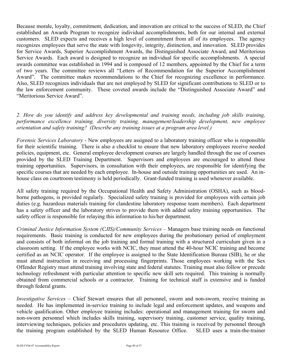Because morale, loyalty, commitment, dedication, and innovation are critical to the success of SLED, the Chief established an Awards Program to recognize individual accomplishments, both for our internal and external customers. SLED expects and receives a high level of commitment from all of its employees. The agency recognizes employees that serve the state with longevity, integrity, distinction, and innovation. SLED provides for Service Awards, Superior Accomplishment Awards, the Distinguished Associate Award, and Meritorious Service Awards. Each award is designed to recognize an individual for specific accomplishments. A special awards committee was established in 1994 and is composed of 12 members, appointed by the Chief for a term of two years. The committee reviews all "Letters of Recommendation for the Superior Accomplishment Award". The committee makes recommendations to the Chief for recognizing excellence in performance. Also, SLED recognizes individuals that are not employed by SLED for significant contributions to SLED or to the law enforcement community. These coveted awards include the "Distinguished Associate Award" and "Meritorious Service Award".

*2. How do you identify and address key developmental and training needs, including job skills training, performance excellence training, diversity training, management/leadership development, new employee orientation and safety training? (Describe any training issues at a program area level.)* 

*Forensic Services Laboratory -* New employees are assigned to a laboratory training officer who is responsible for their scientific training. There is also a checklist to ensure that new laboratory employees receive needed policies, equipment, etc. General employee development courses are largely handled through the use of courses provided by the SLED Training Department. Supervisors and employees are encouraged to attend these training opportunities. Supervisors, in consultation with their employees, are responsible for identifying the specific courses that are needed by each employee. In-house and outside training opportunities are used. An inhouse class on courtroom testimony is held periodically. Grant-funded training is used whenever available.

All safety training required by the Occupational Health and Safety Administration (OSHA), such as bloodborne pathogens, is provided regularly. Specialized safety training is provided for employees with certain job duties (e.g. hazardous materials training for clandestine laboratory response team members). Each department has a safety officer and the laboratory strives to provide them with added safety training opportunities. The safety officer is responsible for relaying this information to his/her department.

*Criminal Justice Information System (CJIS)/Community Services – Managers base training needs on functional* requirements. Basic training is conducted for new employees during the probationary period of employment and consists of both informal on the job training and formal training with a structured curriculum given in a classroom setting. If the employee works with NCIC, they must attend the 40-hour NCIC training and become certified as an NCIC operator. If the employee is assigned to the State Identification Bureau (SIB), he or she must attend instruction in receiving and processing fingerprints. Those employees working with the Sex Offender Registry must attend training involving state and federal statutes. Training must also follow or precede technology refreshment with particular attention to specific new skill sets required. This training is normally obtained from commercial schools or a contractor. Training for technical staff is extensive and is funded through federal grants.

*Investigative Services* – Chief Stewart ensures that all personnel, sworn and non-sworn, receive training as needed. He has implemented in-service training to include legal and enforcement updates, and weapons and vehicle qualification. Other employee training includes: operational and management training for sworn and non-sworn personnel which includes skills training, supervisory training, customer service, quality training, interviewing techniques, policies and procedures updating, etc. This training is received by personnel through the training program established by the SLED Human Resource Office. SLED uses a train-the-trainer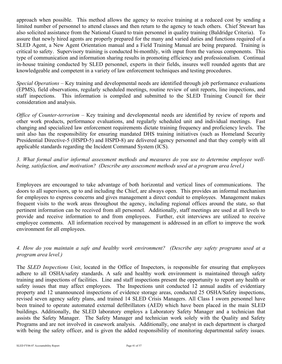approach when possible. This method allows the agency to receive training at a reduced cost by sending a limited number of personnel to attend classes and then return to the agency to teach others. Chief Stewart has also solicited assistance from the National Guard to train personnel in quality training (Baldridge Criteria). To assure that newly hired agents are properly prepared for the many and varied duties and functions required of a SLED Agent, a New Agent Orientation manual and a Field Training Manual are being prepared. Training is critical to safety. Supervisory training is conducted bi-monthly, with input from the various components. This type of communication and information sharing results in promoting efficiency and professionalism. Continual in-house training conducted by SLED personnel, experts in their fields, insures well rounded agents that are knowledgeable and competent in a variety of law enforcement techniques and testing procedures.

*Special Operations –* Key training and developmental needs are identified through job performance evaluations (EPMS), field observations, regularly scheduled meetings, routine review of unit reports, line inspections, and staff inspections. This information is compiled and submitted to the SLED Training Council for their consideration and analysis.

*Office of Counter-terrorism – Key training and developmental needs are identified by review of reports and* other work products, performance evaluations, and regularly scheduled unit and individual meetings. Fast changing and specialized law enforcement requirements dictate training frequency and proficiency levels. The unit also has the responsibility for ensuring mandated DHS training initiatives (such as Homeland Security Presidential Directive-5 (HSPD-5) and HSPD-8) are delivered agency personnel and that they comply with all applicable standards regarding the Incident Command System (ICS).

# *3. What formal and/or informal assessment methods and measures do you use to determine employee wellbeing, satisfaction, and motivation? (Describe any assessment methods used at a program area level.)*

Employees are encouraged to take advantage of both horizontal and vertical lines of communications. The doors to all supervisors, up to and including the Chief, are always open. This provides an informal mechanism for employees to express concerns and gives management a direct conduit to employees. Management makes frequent visits to the work areas throughout the agency, including regional offices around the state, so that pertinent information can be received from all personnel. Additionally, staff meetings are used at all levels to provide and receive information to and from employees. Further, exit interviews are utilized to receive employee comments. All information received by management is addressed in an effort to improve the work environment for all employees.

# *4. How do you maintain a safe and healthy work environment? (Describe any safety programs used at a program area level.)*

The *SLED Inspections Unit*, located in the Office of Inspectors, is responsible for ensuring that employees adhere to all OSHA/safety standards. A safe and healthy work environment is maintained through safety training and inspections of facilities. Line and staff inspections present the opportunity to report any health or safety issues that may affect employees. The Inspections unit conducted 12 annual audits of evidentiary property and 12 unannounced inspections of evidence storage areas, conducted 25 OSHA/Safety inspections, revised seven agency safety plans, and trained 14 SLED Crisis Managers. All Class I sworn personnel have been trained to operate automated external defibrillators (AED) which have been placed in the main SLED buildings. Additionally, the SLED laboratory employs a Laboratory Safety Manager and a technician that assists the Safety Manager. The Safety Manager and technician work solely with the Quality and Safety Programs and are not involved in casework analysis. Additionally, one analyst in each department is charged with being the safety officer, and is given the added responsibility of monitoring departmental safety issues.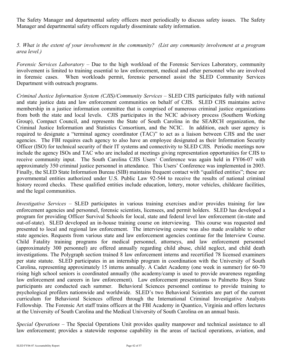The Safety Manager and departmental safety officers meet periodically to discuss safety issues. The Safety Manager and departmental safety officers regularly disseminate safety information.

*5. What is the extent of your involvement in the community? (List any community involvement at a program area level.)* 

*Forensic Services Laboratory –* Due to the high workload of the Forensic Services Laboratory, community involvement is limited to training essential to law enforcement, medical and other personnel who are involved in forensic cases. When workloads permit, forensic personnel assist the SLED Community Services Department with outreach programs.

*Criminal Justice Information System (CJIS)/Community Services – SLED CJIS participates fully with national* and state justice data and law enforcement communities on behalf of CJIS. SLED CJIS maintains active membership in a justice information committee that is comprised of numerous criminal justice organizations from both the state and local levels. CJIS participates in the NCIC advisory process (Southern Working Group), Compact Council, and represents the State of South Carolina in the SEARCH organization, the Criminal Justice Information and Statistics Consortium, and the NCIC. In addition, each user agency is required to designate a "terminal agency coordinator (TAC)" to act as a liaison between CJIS and the user agencies. The FBI requires each agency to also have an employee designated as their Information Security Officer (ISO) for technical security of their IT systems and connectivity to SLED CJIS. Periodic meetings now include the agency ISOs and TAC who are included at meetings giving representation opportunities for CJIS to receive community input. The South Carolina CJIS Users' Conference was again held in FY06-07 with approximately 350 criminal justice personnel in attendance. This Users' Conference was implemented in 2003. Finally, the SLED State Information Bureau (SIB) maintains frequent contact with "qualified entities"; these are governmental entities authorized under U.S. Public Law 92-544 to receive the results of national criminal history record checks. These qualified entities include education, lottery, motor vehicles, childcare facilities, and the legal communities.

*Investigative Services* – SLED participates in various training exercises and/or provides training for law enforcement agencies and personnel, forensic scientists, licensees, and permit holders. SLED has developed a program for providing Officer Survival Schools for local, state and federal level law enforcement (in-state and out-of-state). SLED developed an in-house training course on interviewing. This course was requested and presented to local and regional law enforcement. The interviewing course was also made available to other state agencies. Requests from various state and law enforcement agencies continue for the Interview Course. Child Fatality training programs for medical personnel, attorneys, and law enforcement personnel (approximately 300 personnel) are offered annually regarding child abuse, child neglect, and child death investigations. The Polygraph section trained 8 law enforcement interns and recertified 78 licensed examiners per state statute. SLED participates in an internship program in coordination with the University of South Carolina, representing approximately 15 interns annually. A Cadet Academy (one week in summer) for 60-70 rising high school seniors is coordinated annually (the academy/camp is used to provide awareness regarding law enforcement and careers in law enforcement). Law enforcement presentations to Palmetto Boys State participants are conducted each summer. Behavioral Sciences personnel continue to provide training to psychological profilers nationwide and worldwide. SLED's two Behavioral Scientists are part of the current curriculum for Behavioral Sciences offered through the International Criminal Investigative Analysts Fellowship. The Forensic Art staff trains officers at the FBI Academy in Quantico, Virginia and offers lectures at the University of South Carolina and the Medical University of South Carolina on an annual basis.

*Special Operations* – The Special Operations Unit provides quality manpower and technical assistance to all law enforcement; provides a statewide response capability in the areas of tactical operations, aviation, and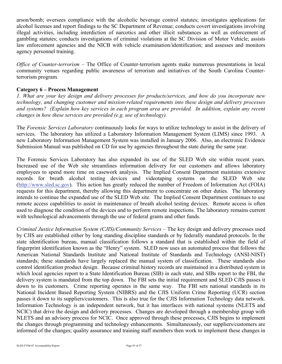arson/bomb; oversees compliance with the alcoholic beverage control statutes; investigates applications for alcohol licenses and report findings to the SC Department of Revenue; conducts covert investigations involving illegal activities, including interdiction of narcotics and other illicit substances as well as enforcement of gambling statutes; conducts investigations of criminal violations at the SC Division of Motor Vehicle; assists law enforcement agencies and the NICB with vehicle examination/identification; and assesses and monitors agency personnel training.

*Office of Counter-terrorism – The Office of Counter-terrorism agents make numerous presentations in local* community venues regarding public awareness of terrorism and initiatives of the South Carolina Counterterrorism program*.* 

#### **Category 6 – Process Management**

*1. What are your key design and delivery processes for products/services, and how do you incorporate new technology, and changing customer and mission-related requirements into these design and delivery processes and systems? (Explain how key services in each program area are provided. In addition, explain any recent changes in how these services are provided (e.g. use of technology).* 

The *Forensic Services Laboratory* continuously looks for ways to utilize technology to assist in the delivery of services. The laboratory has utilized a Laboratory Information Management System (LIMS) since 1993. A new Laboratory Information Management System was installed in January 2006. Also, an electronic Evidence Submission Manual was published on CD for use by agencies throughout the state during the same year.

The Forensic Services Laboratory has also expanded its use of the SLED Web site within recent years. Increased use of the Web site streamlines information delivery for our customers and allows laboratory employees to spend more time on casework analysis. The Implied Consent Department maintains extensive records for breath alcohol testing devices and videotaping systems on the SLED Web site ([http://www.sled.sc.gov](http://www.sled.sc.gov/)). This action has greatly reduced the number of Freedom of Information Act (FOIA) requests for this department, thereby allowing this department to concentrate on other duties. The laboratory intends to continue the expanded use of the SLED Web site. The Implied Consent Department continues to use remote access capabilities to assist in maintenance of breath alcohol testing devices. Remote access is often used to diagnose the condition of the devices and to perform remote inspections. The laboratory remains current with technological advancements through the use of federal grants and other funds.

*Criminal Justice Information System (CJIS)/Community Services* – The key design and delivery processes used by CJIS are established either by long standing discipline standards or by federally mandated protocols. In the state identification bureau, manual classification follows a standard that is established within the field of fingerprint identification known as the "Henry" system. SLED now uses an automated process that follows the American National Standards Institute and National Institute of Standards and Technology (ANSI-NIST) standards; these standards have largely replaced the manual system of classification. These standards also control identification product design. Because criminal history records are maintained in a distributed system in which local agencies report to a State Identification Bureau (SIB) in each state, and SIBs report to the FBI, the delivery system is mandated from the top down. The FBI sets the initial requirement and SLED CJIS passes it down to its customers. Crime reporting operates in the same way. The FBI sets national standards in its National Incident Based Reporting System (NIBRS) and the CJIS Uniform Crime Reporting (UCR) section passes it down to its suppliers/customers. This is also true for the CJIS Information Technology data network. Information Technology is an independent network, but it has interfaces with national systems (NLETS and NCIC) that drive the design and delivery processes. Changes are developed through a membership group with NLETS and an advisory process for NCIC. Once approved through these processes, CJIS begins to implement the changes through programming and technology enhancements. Simultaneously, our suppliers/customers are informed of the changes; quality assurance and training staff members then work to implement these changes in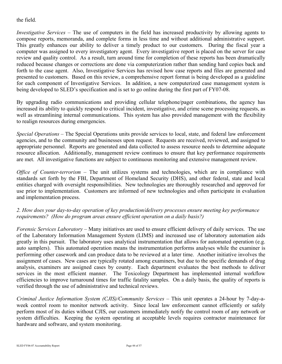#### the field.

*Investigative Services* – The use of computers in the field has increased productivity by allowing agents to compose reports, memoranda, and complete forms in less time and without additional administrative support. This greatly enhances our ability to deliver a timely product to our customers. During the fiscal year a computer was assigned to every investigatory agent. Every investigative report is placed on the server for case review and quality control. As a result, turn around time for completion of these reports has been dramatically reduced because changes or corrections are done via computerization rather than sending hard copies back and forth to the case agent. Also, Investigative Services has revised how case reports and files are generated and presented to customers. Based on this review, a comprehensive report format is being developed as a guideline for each component of Investigative Services. In addition, a new computerized case management system is being developed to SLED's specification and is set to go online during the first part of FY07-08.

By upgrading radio communications and providing cellular telephone/pager combinations, the agency has increased its ability to quickly respond to critical incident, investigative, and crime scene processing requests, as well as streamlining internal communications. This system has also provided management with the flexibility to realign resources during emergencies.

*Special Operations* – The Special Operations units provide services to local, state, and federal law enforcement agencies, and to the community and businesses upon request. Requests are received, reviewed, and assigned to appropriate personnel. Reports are generated and data collected to assess resource needs to determine adequate resource allocation. Additionally, management review continues to ensure that key performance requirements are met. All investigative functions are subject to continuous monitoring and extensive management review.

*Office of Counter-terrorism –* The unit utilizes systems and technologies, which are in compliance with standards set forth by the FBI, Department of Homeland Security (DHS), and other federal, state and local entities charged with oversight responsibilities. New technologies are thoroughly researched and approved for use prior to implementation. Customers are informed of new technologies and often participate in evaluation and implementation process.

# *2. How does your day-to-day operation of key production/delivery processes ensure meeting key performance requirements? (How do program areas ensure efficient operation on a daily basis?)*

*Forensic Services Laboratory –* Many initiatives are used to ensure efficient delivery of daily services. The use of the Laboratory Information Management System (LIMS) and increased use of laboratory automation aids greatly in this pursuit. The laboratory uses analytical instrumentation that allows for automated operation (e.g. auto samplers). This automated operation means the instrumentation performs analyses while the examiner is performing other casework and can produce data to be reviewed at a later time. Another initiative involves the assignment of cases. New cases are typically rotated among examiners, but due to the specific demands of drug analysis, examiners are assigned cases by county. Each department evaluates the best methods to deliver services in the most efficient manner. The Toxicology Department has implemented internal workflow efficiencies to improve turnaround times for traffic fatality samples. On a daily basis, the quality of reports is verified through the use of administrative and technical reviews.

*Criminal Justice Information System (CJIS)/Community Services –* This unit operates a 24-hour by 7-day-aweek control room to monitor network activity. Since local law enforcement cannot efficiently or safely perform most of its duties without CJIS, our customers immediately notify the control room of any network or system difficulties. Keeping the system operating at acceptable levels requires contractor maintenance for hardware and software, and system monitoring.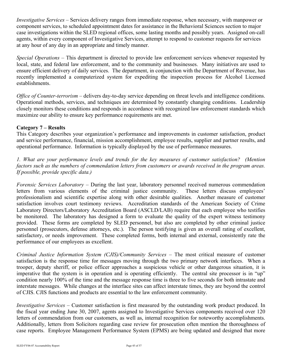*Investigative Services* – Services delivery ranges from immediate response, when necessary, with manpower or component services, to scheduled appointment dates for assistance in the Behavioral Sciences section to major case investigations within the SLED regional offices, some lasting months and possibly years. Assigned on-call agents, within every component of Investigative Services, attempt to respond to customer requests for services at any hour of any day in an appropriate and timely manner.

*Special Operations* – This department is directed to provide law enforcement services whenever requested by local, state, and federal law enforcement, and to the community and businesses. Many initiatives are used to ensure efficient delivery of daily services. The department, in conjunction with the Department of Revenue, has recently implemented a computerized system for expediting the inspection process for Alcohol Licensed establishments.

*Office of Counter-terrorism* – delivers day-to-day service depending on threat levels and intelligence conditions. Operational methods, services, and techniques are determined by constantly changing conditions. Leadership closely monitors these conditions and responds in accordance with recognized law enforcement standards which maximize our ability to ensure key performance requirements are met.

# **Category 7 – Results**

This Category describes your organization's performance and improvements in customer satisfaction, product and service performance, financial, mission accomplishment, employee results, supplier and partner results, and operational performance. Information is typically displayed by the use of performance measures.

*1. What are your performance levels and trends for the key measures of customer satisfaction? (Mention factors such as the numbers of commendation letters from customers or awards received in the program areas. If possible, provide specific data.)* 

*Forensic Services Laboratory –* During the last year, laboratory personnel received numerous commendation letters from various elements of the criminal justice community. These letters discuss employees' professionalism and scientific expertise along with other desirable qualities. Another measure of customer satisfaction involves court testimony reviews. Accreditation standards of the American Society of Crime Laboratory Directors/Laboratory Accreditation Board (ASCLD/LAB) require that each employee who testifies be monitored. The laboratory has designed a form to evaluate the quality of the expert witness testimony provided. These forms are completed by SLED personnel, but also are completed by other criminal justice personnel (prosecutors, defense attorneys, etc.). The person testifying is given an overall rating of excellent, satisfactory, or needs improvement. These completed forms, both internal and external, consistently rate the performance of our employees as excellent.

*Criminal Justice Information System (CJIS)/Community Services – The most critical measure of customer* satisfaction is the response time for messages moving through the two primary network interfaces. When a trooper, deputy sheriff, or police officer approaches a suspicious vehicle or other dangerous situation, it is imperative that the system is in operation and is operating efficiently. The central site processor is in "up" condition nearly 100% of the time and the message response time is three to five seconds for both intrastate and interstate messages. While changes at the interface sites can affect interstate times, they are beyond the control of CJIS. CJIS functions and products are essential to the law enforcement community.

*Investigative Services* – Customer satisfaction is first measured by the outstanding work product produced. In the fiscal year ending June 30, 2007, agents assigned to Investigative Services components received over 120 letters of commendation from our customers, as well as, internal recognition for noteworthy accomplishments. Additionally, letters from Solicitors regarding case review for prosecution often mention the thoroughness of case reports. Employee Management Performance System (EPMS) are being updated and designed that more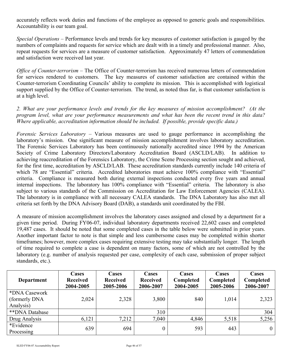accurately reflects work duties and functions of the employee as opposed to generic goals and responsibilities. Accountability is our team goal.

*Special Operations* – Performance levels and trends for key measures of customer satisfaction is gauged by the numbers of complaints and requests for service which are dealt with in a timely and professional manner. Also, repeat requests for services are a measure of customer satisfaction. Approximately 47 letters of commendation and satisfaction were received last year.

*Office of Counter-terrorism* – The Office of Counter-terrorism has received numerous letters of commendation for services rendered to customers. The key measures of customer satisfaction are contained within the Counter-terrorism Coordinating Councils' ability to complete its mission. This is accomplished with logistical support supplied by the Office of Counter-terrorism. The trend, as noted thus far, is that customer satisfaction is at a high level.

*2. What are your performance levels and trends for the key measures of mission accomplishment? (At the program level, what are your performance measurements and what has been the recent trend in this data? Where applicable, accreditation information should be included. If possible, provide specific data.)* 

*Forensic Services Laboratory* – Various measures are used to gauge performance in accomplishing the laboratory's mission. One significant measure of mission accomplishment involves laboratory accreditation. The Forensic Services Laboratory has been continuously nationally accredited since 1994 by the American Society of Crime Laboratory Directors/Laboratory Accreditation Board (ASCLD/LAB). In addition to achieving reaccreditation of the Forensics Laboratory, the Crime Scene Processing section sought and achieved, for the first time, accreditation by ASCLD/LAB. These accreditation standards currently include 140 criteria of which 78 are "Essential" criteria. Accredited laboratories must achieve 100% compliance with "Essential" criteria. Compliance is measured both during external inspections conducted every five years and annual internal inspections. The laboratory has 100% compliance with "Essential" criteria. The laboratory is also subject to various standards of the Commission on Accreditation for Law Enforcement Agencies (CALEA). The laboratory is in compliance with all necessary CALEA standards. The DNA Laboratory has also met all criteria set forth by the DNA Advisory Board (DAB), a standards unit coordinated by the FBI.

A measure of mission accomplishment involves the laboratory cases assigned and closed by a department for a given time period. During FY06-07, individual laboratory departments received 22,602 cases and completed 19,487 cases. It should be noted that some completed cases in the table below were submitted in prior years. Another important factor to note is that simple and less cumbersome cases may be completed within shorter timeframes; however, more complex cases requiring extensive testing may take substantially longer. The length of time required to complete a case is dependent on many factors, some of which are not controlled by the laboratory (e.g. number of analysis requested per case, complexity of each case, submission of proper subject standards, etc.).

| <b>Department</b>                            | <b>Cases</b><br><b>Received</b><br>2004-2005 | <b>Cases</b><br><b>Received</b><br>2005-2006 | Cases<br><b>Received</b><br>2006-2007 | Cases<br>Completed<br>2004-2005 | Cases<br>Completed<br>2005-2006 | Cases<br><b>Completed</b><br>2006-2007 |
|----------------------------------------------|----------------------------------------------|----------------------------------------------|---------------------------------------|---------------------------------|---------------------------------|----------------------------------------|
| *DNA Casework<br>(formerly DNA)<br>Analysis) | 2,024                                        | 2,328                                        | 3,800                                 | 840                             | 1,014                           | 2,323                                  |
| **DNA Database                               |                                              |                                              | 310                                   |                                 |                                 | 304                                    |
| Drug Analysis                                | 6,121                                        | 7,212                                        | 7,040                                 | 4,846                           | 5,518                           | 5,256                                  |
| *Evidence<br>Processing                      | 639                                          | 694                                          | 0                                     | 593                             | 443                             | $\mathbf{0}$                           |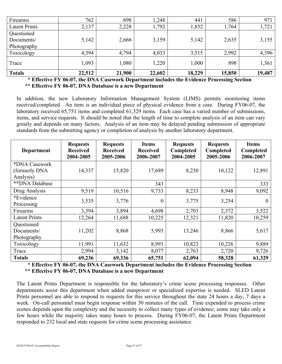| Firearms             | 762    | 898    | 1,248  | 441    | 586    | 971    |
|----------------------|--------|--------|--------|--------|--------|--------|
| <b>Latent Prints</b> | 2,137  | 2,228  | 1,792  | 1,852  | 1,764  | 1,721  |
| Questioned           |        |        |        |        |        |        |
| Documents/           | 5,142  | 2,666  | 3,159  | 5,142  | 2,635  | 3,155  |
| Photography          |        |        |        |        |        |        |
| Toxicology           | 4,594  | 4,794  | 4,033  | 3,515  | 2,992  | 4,396  |
| Trace                | 1,093  | 1,080  | 1,220  | 1,000  | 898    | 1,361  |
| <b>Totals</b>        | 22,512 | 21,900 | 22,602 | 18,229 | 15,850 | 19,487 |

 **\* Effective FY 06-07, the DNA Casework Department includes the Evidence Processing Section \*\* Effective FY 06-07, DNA Database is a new Department** 

In addition, the new Laboratory Information Management System (LIMS) permits monitoring items received/completed. An item is an individual piece of physical evidence from a case. During FY06-07, the laboratory received 65,751 items and completed 61,329 items. Each case has a varied number of submissions, items, and service requests. It should be noted that the length of time to complete analysis of an item can vary greatly and depends on many factors. Analysis of an item may be delayed pending submission of appropriate standards from the submitting agency or completion of analysis by another laboratory department.

| <b>Department</b>                       | <b>Requests</b><br><b>Requests</b><br><b>Items</b><br><b>Received</b><br><b>Received</b><br><b>Received</b><br>2005-2006<br>2004-2005<br>2006-2007 |        | <b>Requests</b><br>Completed<br>2004-2005 | <b>Requests</b><br>Completed<br>2005-2006 | <b>Items</b><br>Completed<br>2006-2007 |          |
|-----------------------------------------|----------------------------------------------------------------------------------------------------------------------------------------------------|--------|-------------------------------------------|-------------------------------------------|----------------------------------------|----------|
| *DNA Casework<br>(formerly DNA          | 14,337                                                                                                                                             | 15,820 | 17,689                                    | 8,230                                     | 10,122                                 | 12,891   |
| Analysis)                               |                                                                                                                                                    |        |                                           |                                           |                                        |          |
| **DNA Database                          |                                                                                                                                                    |        | 343                                       |                                           |                                        | 333      |
| Drug Analysis                           | 9,519                                                                                                                                              | 10,516 | 9,733                                     | 8,233                                     | 8,948                                  | 9,092    |
| *Evidence<br>Processing                 | 3,535                                                                                                                                              | 3,776  | $\theta$                                  | 3,775                                     | 3,254                                  | $\theta$ |
| Firearms                                | 3,394                                                                                                                                              | 3,894  | 4,698                                     | 2,703                                     | 2,372                                  | 3,522    |
| <b>Latent Prints</b>                    | 12,264                                                                                                                                             | 11,688 | 10,225                                    | 12,321                                    | 11,820                                 | 10,259   |
| Questioned<br>Documents/<br>Photography | 11,202                                                                                                                                             | 8,868  | 5,993                                     | 13,246                                    | 8,866                                  | 5,617    |
| Toxicology                              | 11,991                                                                                                                                             | 11,632 | 8,993                                     | 10,823                                    | 10,226                                 | 9,889    |
| Trace                                   | 2,994                                                                                                                                              | 3,142  | 8,077                                     | 2,763                                     | 2,720                                  | 9,726    |
| <b>Totals</b>                           | 69,236                                                                                                                                             | 69,336 | 65,751                                    | 62,094                                    | 58,328                                 | 61,329   |

 **\* Effective FY 06-07, the DNA Casework Department includes the Evidence Processing Section \*\* Effective FY 06-07, DNA Database is a new Department** 

The Latent Prints Department is responsible for the laboratory's crime scene processing responses. Other departments assist this department when added manpower or specialized expertise is needed. SLED Latent Prints personnel are able to respond to requests for this service throughout the state 24 hours a day, 7 days a week. On-call personnel must begin response within 30 minutes of the call. Time expended to process crime scenes depends upon the complexity and the necessity to collect many types of evidence; some may take only a few hours while the majority takes many hours to process. During FY06-07, the Latent Prints Department responded to 232 local and state requests for crime scene processing assistance.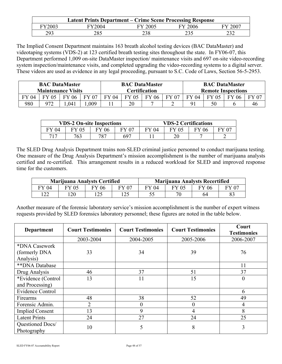| <b>Latent Prints Department – Crime Scene Processing Response</b> |        |         |         |                 |  |  |  |
|-------------------------------------------------------------------|--------|---------|---------|-----------------|--|--|--|
| FY2003                                                            | FY2004 | FY 2005 | FY 2006 | $\sim 200^{-7}$ |  |  |  |
| 293                                                               | 285    | 238     | 235     | 232             |  |  |  |

The Implied Consent Department maintains 163 breath alcohol testing devices (BAC DataMaster) and videotaping systems (VDS-2) at 123 certified breath testing sites throughout the state. In FY06-07, this Department performed 1,009 on-site DataMaster inspection/ maintenance visits and 697 on-site video-recording system inspection/maintenance visits, and completed upgrading the video-recording systems to a digital server. These videos are used as evidence in any legal proceeding, pursuant to S.C. Code of Laws, Section 56-5-2953.

| <b>BAC DataMaster</b> |                           |          | <b>BAC DataMaster</b>                      |          |    | <b>BAC DataMaster</b> |    |    |  |          |    |
|-----------------------|---------------------------|----------|--------------------------------------------|----------|----|-----------------------|----|----|--|----------|----|
|                       | <b>Maintenance Visits</b> |          | Certification<br><b>Remote Inspections</b> |          |    |                       |    |    |  |          |    |
| 04                    |                           | 06<br>FV |                                            | $\Omega$ |    | FY 06                 | 07 | 04 |  | 06<br>FV |    |
| 980                   | 972                       | 041      | ,009                                       |          | 20 |                       |    |    |  |          | 46 |

| <b>VDS-2 On-site Inspections</b> |       |     | <b>VDS-2 Certifications</b> |    |           |  |  |
|----------------------------------|-------|-----|-----------------------------|----|-----------|--|--|
| 94                               | FY 05 | 06  |                             | 04 | 05<br>EV. |  |  |
| 717                              | 763   | 787 | 697                         |    | 20        |  |  |

The SLED Drug Analysis Department trains non-SLED criminal justice personnel to conduct marijuana testing. One measure of the Drug Analysis Department's mission accomplishment is the number of marijuana analysts certified and re-certified. This arrangement results in a reduced workload for SLED and improved response time for the customers.

| <b>Marijuana Analysts Certified</b> |       |    | <b>Marijuana Analysts Recertified</b> |    |       |              |  |
|-------------------------------------|-------|----|---------------------------------------|----|-------|--------------|--|
| 04                                  | FY 05 | 06 | <b>FY 07</b>                          | 04 | FY 05 | <b>FY 06</b> |  |
|                                     | 20    |    |                                       |    |       | 64           |  |

Another measure of the forensic laboratory service's mission accomplishment is the number of expert witness requests provided by SLED forensics laboratory personnel; these figures are noted in the table below.

| <b>Department</b>       | <b>Court Testimonies</b> | <b>Court Testimonies</b> | <b>Court Testimonies</b> | Court<br><b>Testimonies</b> |
|-------------------------|--------------------------|--------------------------|--------------------------|-----------------------------|
|                         | 2003-2004                | 2004-2005                | 2005-2006                | 2006-2007                   |
| *DNA Casework           |                          |                          |                          |                             |
| (formerly DNA)          | 33                       | 34                       | 39                       | 76                          |
| Analysis)               |                          |                          |                          |                             |
| ** DNA Database         |                          |                          |                          | 11                          |
| Drug Analysis           | 46                       | 37                       | 51                       | 37                          |
| *Evidence (Control      | 13                       | 11                       | 15                       | $\theta$                    |
| and Processing)         |                          |                          |                          |                             |
| <b>Evidence Control</b> |                          |                          |                          | 6                           |
| Firearms                | 48                       | 38                       | 52                       | 49                          |
| Forensic Admin.         | $\overline{2}$           | $\Omega$                 | 0                        | 4                           |
| <b>Implied Consent</b>  | 13                       | 9                        | $\overline{4}$           | 8                           |
| <b>Latent Prints</b>    | 24                       | 27                       | 24                       | 25                          |
| Questioned Docs/        |                          |                          |                          | 3                           |
| Photography             | 10                       | 5                        | 8                        |                             |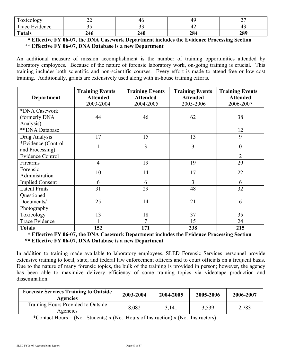| $\mathbf{r}$<br>$\alpha$ $\pi$<br>$\alpha$ <sub>11</sub> $\alpha$<br>ັ. | ~~<br>--         |             | . .        | $\sim$ $\sim$<br>- |
|-------------------------------------------------------------------------|------------------|-------------|------------|--------------------|
| $\overline{\phantom{0}}$<br>. .<br>$\mathbf{r}$<br>Evidence<br>race     | ັັ               | ັ້          | ᅭ.<br>- 14 |                    |
| <b>Totals</b>                                                           | $\Lambda$<br>∠πν | 240<br>44 V | 90.<br>404 | 200<br>402         |

# **\* Effective FY 06-07, the DNA Casework Department includes the Evidence Processing Section \*\* Effective FY 06-07, DNA Database is a new Department**

An additional measure of mission accomplishment is the number of training opportunities attended by laboratory employees. Because of the nature of forensic laboratory work, on-going training is crucial. This training includes both scientific and non-scientific courses. Every effort is made to attend free or low cost training. Additionally, grants are extensively used along with in-house training efforts.

| <b>Department</b>       | <b>Training Events</b><br><b>Attended</b><br>2003-2004 | <b>Training Events</b><br><b>Attended</b><br>2004-2005 | <b>Training Events</b><br><b>Attended</b><br>2005-2006 | <b>Training Events</b><br><b>Attended</b><br>2006-2007 |
|-------------------------|--------------------------------------------------------|--------------------------------------------------------|--------------------------------------------------------|--------------------------------------------------------|
| *DNA Casework           |                                                        |                                                        |                                                        |                                                        |
| (formerly DNA           | 44                                                     | 46                                                     | 62                                                     | 38                                                     |
| Analysis)               |                                                        |                                                        |                                                        |                                                        |
| ** DNA Database         |                                                        |                                                        |                                                        | 12                                                     |
| Drug Analysis           | 17                                                     | 15                                                     | 13                                                     | 9                                                      |
| *Evidence (Control      | $\mathbf{1}$                                           | 3                                                      | 3                                                      | $\overline{0}$                                         |
| and Processing)         |                                                        |                                                        |                                                        |                                                        |
| <b>Evidence Control</b> |                                                        |                                                        |                                                        | $\overline{2}$                                         |
| Firearms                | $\overline{4}$                                         | 19                                                     | 19                                                     | 29                                                     |
| Forensic                | 10                                                     | 14                                                     | 17                                                     | 22                                                     |
| Administration          |                                                        |                                                        |                                                        |                                                        |
| <b>Implied Consent</b>  | 6                                                      | 6                                                      | 3                                                      | 6                                                      |
| <b>Latent Prints</b>    | 31                                                     | 29                                                     | 48                                                     | 32                                                     |
| Questioned              |                                                        |                                                        |                                                        |                                                        |
| Documents/              | 25                                                     | 14                                                     | 21                                                     | 6                                                      |
| Photography             |                                                        |                                                        |                                                        |                                                        |
| Toxicology              | 13                                                     | 18                                                     | 37                                                     | 35                                                     |
| <b>Trace Evidence</b>   |                                                        | 7                                                      | 15                                                     | 24                                                     |
| <b>Totals</b>           | 152                                                    | 171                                                    | 238                                                    | 215                                                    |

 **\* Effective FY 06-07, the DNA Casework Department includes the Evidence Processing Section \*\* Effective FY 06-07, DNA Database is a new Department** 

In addition to training made available to laboratory employees, SLED Forensic Services personnel provide extensive training to local, state, and federal law enforcement officers and to court officials on a frequent basis. Due to the nature of many forensic topics, the bulk of the training is provided in person; however, the agency has been able to maximize delivery efficiency of some training topics via videotape production and dissemination.

| <b>Forensic Services Training to Outside</b><br><b>Agencies</b> | 2003-2004 | 2004-2005 | 2005-2006 | 2006-2007 |
|-----------------------------------------------------------------|-----------|-----------|-----------|-----------|
| Training Hours Provided to Outside<br>Agencies                  | 8,082     | 3,141     | 3,539     | 2,783     |

\*Contact Hours = (No. Students) x (No. Hours of Instruction) x (No. Instructors)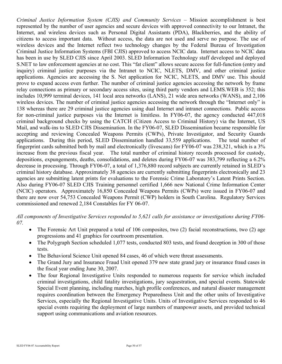*Criminal Justice Information System (CJIS) and Community Services –* Mission accomplishment is best represented by the number of user agencies and secure devices with approved connectivity to our Intranet, the Internet, and wireless devices such as Personal Digital Assistants (PDA), Blackberries, and the ability of citizens to access important data. Without access, the data are not used and serve no purpose. The use of wireless devices and the Internet reflect two technology changes by the Federal Bureau of Investigation Criminal Justice Information Systems (FBI CJIS) approved to access NCIC data. Internet access to NCIC data has been in use by SLED CJIS since April 2003. SLED Information Technology staff developed and deployed S.NET to law enforcement agencies at no cost. This "fat client" allows secure access for full-function (entry and inquiry) criminal justice purposes via the Intranet to NCIC, NLETS, DMV, and other criminal justice applications. Agencies are accessing the S. Net application for NCIC, NLETS, and DMV use. This should prove to expand access even further. The number of criminal justice agencies accessing the network by frame relay connections as primary or secondary access sites, using third party vendors and LEMS.WEB is 352; this includes 10,999 terminal devices, 141 local area networks (LANS), 21 wide area networks (WANS), and 2,106 wireless devices. The number of criminal justice agencies accessing the network through the "Internet only" is 138 whereas there are 29 criminal justice agencies using dual Internet and intranet connections. Public access for non-criminal justice purposes via the Internet is limitless. In FY06-07, the agency conducted 447,018 criminal background checks by using the CATCH (Citizen Access to Criminal History) via the Internet, US Mail, and walk-ins to SLED CJIS Dissemination. In the FY06-07, SLED Dissemination became responsible for accepting and reviewing Concealed Weapons Permits (CWPs), Private Investigator, and Security Guards applications. During this period, SLED Dissemination handled 33,559 applications. The total number of fingerprint cards submitted both by mail and electronically (livescans) for FY06-07 was 238,321, which is a 3% increase from the previous fiscal year. The total number of criminal history records processed for custody, depositions, expungements, deaths, consolidations, and deletes during FY06-07 was 383,799 reflecting a 6.2% decrease in processing. Through FY06-07, a total of 1,376,880 record subjects are currently retained in SLED's criminal history database. Approximately 38 agencies are currently submitting fingerprints electronically and 23 agencies are submitting latent prints for evaluations to the Forensic Crime Laboratory's Latent Prints Section. Also during FY06-07 SLED CJIS Training personnel certified 1,666 new National Crime Information Center (NCIC) operators. Approximately 16,850 Concealed Weapons Permits (CWPs) were issued in FY06-07 and there are now over 54,753 Concealed Weapons Permit (CWP) holders in South Carolina. Regulatory Services commissioned and renewed 2,184 Constables for FY 06-07.

*All components of Investigative Services responded to 5,621 calls for assistance or investigations during FY06- 07.*

- The Forensic Art Unit prepared a total of 106 composites, two (2) facial reconstructions, two (2) age progressions and 41 graphics for courtroom presentation.
- The Polygraph Section scheduled 1,077 tests, conducted 803 tests, and found deception in 300 of those tests.
- The Behavioral Science Unit opened 84 cases, 46 of which were threat assessments.
- The Grand Jury and Insurance Fraud Unit opened 379 new state grand jury or insurance fraud cases in the fiscal year ending June 30, 2007.
- The four Regional Investigative Units responded to numerous requests for service which included criminal investigations, child fatality investigations, jury sequestration, and special events. Statewide Special Event planning, including marches, high profile conferences, and natural disaster management requires coordination between the Emergency Preparedness Unit and the other units of Investigative Services, especially the Regional Investigative Units. Units of Investigative Services responded to 46 special events requiring the deployment of large numbers of manpower assets, and provided technical support using communications and aviation resources.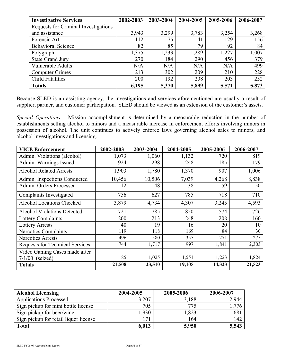| <b>Investigative Services</b>        | 2002-2003 | 2003-2004 | 2004-2005 | 2005-2006 | 2006-2007 |
|--------------------------------------|-----------|-----------|-----------|-----------|-----------|
| Requests for Criminal Investigations |           |           |           |           |           |
| and assistance                       | 3,943     | 3,299     | 3,783     | 3,254     | 3,268     |
| Forensic Art                         | 112       | 75        | 41        | 129       | 156       |
| <b>Behavioral Science</b>            | 82        | 85        | 79        | 92        | 84        |
| Polygraph                            | 1,375     | 1,233     | 1,289     | 1,227     | 1,007     |
| <b>State Grand Jury</b>              | 270       | 184       | 290       | 456       | 379       |
| Vulnerable Adults                    | N/A       | N/A       | N/A       | N/A       | 499       |
| <b>Computer Crimes</b>               | 213       | 302       | 209       | 210       | 228       |
| <b>Child Fatalities</b>              | 200       | 192       | 208       | 203       | 252       |
| <b>Totals</b>                        | 6,195     | 5,370     | 5,899     | 5,571     | 5,873     |

Because SLED is an assisting agency, the investigations and services aforementioned are usually a result of supplier, partner, and customer participation. SLED should be viewed as an extension of the customer's assets.

*Special Operations* – Mission accomplishment is determined by a measurable reduction in the number of establishments selling alcohol to minors and a measurable increase in enforcement efforts involving minors in possession of alcohol. The unit continues to actively enforce laws governing alcohol sales to minors, and alcohol investigations and licensing.

| <b>VICE Enforcement</b>            | 2002-2003 | 2003-2004 | 2004-2005 | 2005-2006 | 2006-2007 |
|------------------------------------|-----------|-----------|-----------|-----------|-----------|
| Admin. Violations (alcohol)        | 1,073     | 1,060     | 1,132     | 720       | 819       |
| Admin. Warnings Issued             | 924       | 298       | 248       | 185       | 179       |
| <b>Alcohol Related Arrests</b>     | 1,903     | 1,780     | 1,370     | 907       | 1,006     |
| Admin. Inspections Conducted       | 10,456    | 10,506    | 7,039     | 4,268     | 8,838     |
| Admin. Orders Processed            | 12        | 48        | 38        | 59        | 50        |
| Complaints Investigated            | 756       | 627       | 785       | 718       | 710       |
| <b>Alcohol Locations Checked</b>   | 3,879     | 4,734     | 4,307     | 3,245     | 4,593     |
| <b>Alcohol Violations Detected</b> | 721       | 785       | 850       | 574       | 726       |
| <b>Lottery Complaints</b>          | 200       | 213       | 248       | 208       | 160       |
| <b>Lottery Arrests</b>             | 40        | 19        | 16        | 20        | 10        |
| <b>Narcotics Complaints</b>        | 119       | 118       | 169       | 84        | 30        |
| <b>Narcotics Arrests</b>           | 496       | 580       | 355       | 271       | 275       |
| Requests for Technical Services    | 744       | 1,717     | 997       | 1,841     | 2,303     |
| Video Gaming Cases made after      |           |           |           |           |           |
| $7/1/00$ (seized)                  | 185       | 1,025     | 1,551     | 1,223     | 1,824     |
| <b>Totals</b>                      | 21,508    | 23,510    | 19,105    | 14,323    | 21,523    |

| <b>Alcohol Licensing</b>              | 2004-2005 | 2005-2006 | 2006-2007 |
|---------------------------------------|-----------|-----------|-----------|
| <b>Applications Processed</b>         | 3,207     | 3,188     | 2,944     |
| Sign pickup for mini bottle license   | 705       | 775       | 776       |
| Sign pickup for beer/wine             | .930      | 1,823     | 681       |
| Sign pickup for retail liquor license | 171       | 164       | 142       |
| <b>Total</b>                          | 6,013     | 5,950     | 5,543     |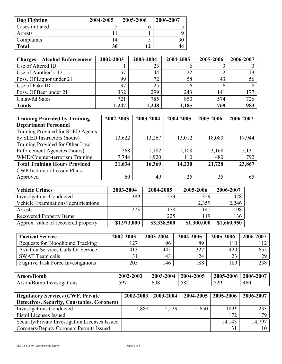| Dog Fighting    | 2004-2005      | 2005-2006 | 2006-2007 |
|-----------------|----------------|-----------|-----------|
| Cases initiated |                |           |           |
| Arrests         |                |           |           |
| Complaints      | $\overline{4}$ |           |           |
| <b>Total</b>    | 30             | 12        | 44        |

| <b>Charges – Alcohol Enforcement</b> | 2002-2003 | 2003-2004 | 2004-2005 | 2005-2006 | 2006-2007 |
|--------------------------------------|-----------|-----------|-----------|-----------|-----------|
| Use of Altered ID                    |           | 23        | O         |           |           |
| Use of Another's ID                  | 57        | 44        | 22        |           |           |
| Poss. Of Liquor under 21             | 99        | 72        | 58        | 43        | 56        |
| Use of Fake ID                       | 37        | 25        |           |           |           |
| Poss. Of Beer under 21               | 332       | 299       | 243       | 141       | 177       |
| <b>Unlawful Sales</b>                | 721       | 785       | 850       | 574       | 726       |
| <b>Totals</b>                        | 1,247     | 1,248     | 1,185     | 769       | 983       |

| <b>Training Provided by Training</b> | 2002-2003 | 2003-2004 | 2004-2005 | 2005-2006 | 2006-2007 |
|--------------------------------------|-----------|-----------|-----------|-----------|-----------|
| <b>Department Personnel</b>          |           |           |           |           |           |
| Training Provided for SLED Agents    |           |           |           |           |           |
| by SLED Instructors (hours)          | 13,622    | 13,267    | 13,012    | 18,080    | 17,944    |
| Training Provided for Other Law      |           |           |           |           |           |
| Enforcement Agencies (hours)         | 268       | 1,182     | 1,108     | 3,168     | 5,131     |
| WMD/Counter-terrorism Training       | 7,744     | 1,920     | 110       | 480       | 792       |
| <b>Total Training Hours Provided</b> | 21,634    | 16,369    | 14,230    | 21,728    | 23,867    |
| <b>CWP</b> Instructor Lesson Plans   |           |           |           |           |           |
| Approved                             | 60        | 49        | 25        | 35        | 65        |

| <b>Vehicle Crimes</b>                | 2003-2004   | 2004-2005   | 2005-2006   | 2006-2007   |
|--------------------------------------|-------------|-------------|-------------|-------------|
| <b>Investigations Conducted</b>      | 389         | 273         | 359         | 478         |
| Vehicle Examinations/Identifications |             |             | 2,359       | 2,246       |
| Arrests                              | 273         | 178         | 141         | 198         |
| <b>Recovered Property Items</b>      |             | 225         | 119         | 136         |
| Approx. value of recovered property  | \$1,973,000 | \$3,338,500 | \$1,300,000 | \$1,660,950 |

| <b>Tactical Service</b>                    | 2002-2003 | 2003-2004 | 2004-2005 | 2005-2006 | 2006-2007 |
|--------------------------------------------|-----------|-----------|-----------|-----------|-----------|
| Requests for Bloodhound Tracking           | 127       | 96        | 89        |           |           |
| <b>Aviation Services Calls for Service</b> |           | 445       | 327       | 420       |           |
| SWAT Team calls                            |           | 43        | 24        | 23        | 29 l      |
| <b>Fugitive Task Force Investigations</b>  | 205       | 146       | 188       | 189       | 238       |

| <b>Arson/Bomb</b>                   | 2002-2003            | 2003-2004 | 2004-2005 | 2005-2006     | 2006-2007 |
|-------------------------------------|----------------------|-----------|-----------|---------------|-----------|
| Arson/<br>/Bomb .<br>Investigations | 50 <sup>7</sup><br>ັ | 608       | 582       | 500<br>. سه ب | 460       |

| <b>Regulatory Services (CWP, Private</b>       |       | $2002 - 2003$   2003-2004 | $2004 - 2005$   2005-2006 |        | 2006-2007 |
|------------------------------------------------|-------|---------------------------|---------------------------|--------|-----------|
| Detectives, Security, Constables, Coroners)    |       |                           |                           |        |           |
| <b>Investigations Conducted</b>                | 2,888 | 2,539                     | 1,650                     | 189*   | 233       |
| Pistol Licenses Issued                         |       |                           |                           | 172    | 179 I     |
| Security/Private Investigation Licenses Issued |       |                           |                           | 14.143 | 14.797    |
| Coroners/Deputy Coroners Permits Issued        |       |                           |                           | 31     | 10        |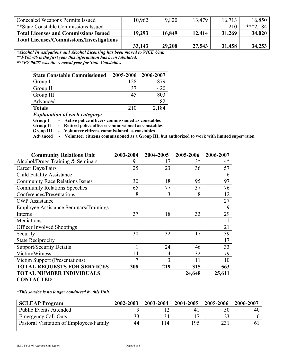| <b>Concealed Weapons Permits Issued</b>          | 10.962 | 9,820  | 13.479 | 16,713 | 16,850   |
|--------------------------------------------------|--------|--------|--------|--------|----------|
| **State Constable Commissions Issued             |        |        |        | 210    | ***2.184 |
| <b>Total Licenses and Commissions Issued</b>     | 19,293 | 16,849 | 12,414 | 31,269 | 34,020   |
| <b>Total Licenses/Commissions/Investigations</b> |        |        |        |        |          |
|                                                  | 33,143 | 29,208 | 27,543 | 31,458 | 34,253   |

*\*Alcohol Investigations and Alcohol Licensing has been moved to VICE Unit. \*\*FY05-06 is the first year this information has been tabulated.* 

*\*\*\*FY 06/07 was the renewal year for State Constables* 

| <b>State Constable Commissioned</b> | 2005-2006 | 2006-2007 |
|-------------------------------------|-----------|-----------|
| Group I                             | 128       |           |
| Group $II$                          | 37        | 420       |
| Group III                           | 45        | 803       |
| Advanced                            |           |           |
| <b>Totals</b>                       | 210       |           |

 *Explanation of each category:* 

 **Group I - Active police officers commissioned as constables** 

 **Group II - Retired police officers commissioned as constables** 

 **Group III - Volunteer citizens commissioned as constables** 

 **Advanced - Volunteer citizens commissioned as a Group III, but authorized to work with limited supervision** 

| <b>Community Relations Unit</b>               | 2003-2004 | 2004-2005 | 2005-2006 | 2006-2007 |
|-----------------------------------------------|-----------|-----------|-----------|-----------|
| Alcohol/Drugs Training & Seminars             | 91        | 17        | $3*$      | $4*$      |
| Career Days/Fairs                             | 25        | 23        | 36        | 57        |
| <b>Child Fatality Assistance</b>              |           |           |           | 6         |
| <b>Community Race Relations Issues</b>        | 30        | 18        | 95        | 97        |
| <b>Community Relations Speeches</b>           | 65        | 77        | 37        | 76        |
| Conferences/Presentations                     | 8         | 3         | 8         | 12        |
| <b>CWP</b> Assistance                         |           |           |           | 27        |
| <b>Employee Assistance Seminars/Trainings</b> |           |           |           | 9         |
| Interns                                       | 37        | 18        | 33        | 29        |
| Mediations                                    |           |           |           | 51        |
| <b>Officer Involved Shootings</b>             |           |           |           | 21        |
| Security                                      | 30        | 32        | 17        | 39        |
| <b>State Reciprocity</b>                      |           |           |           | 17        |
| <b>Support/Security Details</b>               |           | 24        | 46        | 33        |
| Victim/Witness                                | 14        | 4         | 32        | 79        |
| Victim Support (Presentations)                | 7         | 3         | 11        | 10        |
| <b>TOTAL REQUESTS FOR SERVICES</b>            | 308       | 219       | 315       | 563       |
| <b>TOTAL NUMBER INDIVIDUALS</b>               |           |           | 24,648    | 25,611    |
| <b>CONTACTED</b>                              |           |           |           |           |

*\*This service is no longer conducted by this Unit.* 

| <b>SCLEAP Program</b>                   | 2002-2003 | 2003-2004 | 2004-2005      | 2005-2006 | 2006-2007 |
|-----------------------------------------|-----------|-----------|----------------|-----------|-----------|
| <b>Public Events Attended</b>           |           |           | 4 <sub>1</sub> | 50        | 40        |
| <b>Emergency Call-Outs</b>              | 33        | 34        |                | 23        |           |
| Pastoral Visitation of Employees/Family | 44        | 14        | 195            |           |           |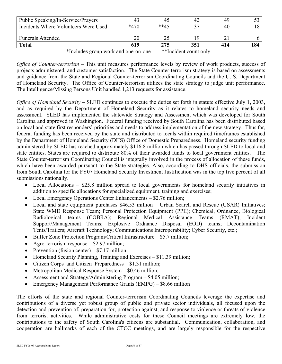| Public Speaking/In-Service/Prayers   | 43     |             | 42       | 49  |     |
|--------------------------------------|--------|-------------|----------|-----|-----|
| Incidents Where Volunteers Were Used | $*470$ | $**45$      | $\gamma$ | 40  |     |
|                                      |        |             |          |     |     |
| <b>Funerals Attended</b>             | 20     |             |          |     |     |
| <b>Total</b>                         | 619    | クワミ<br>21.1 | 351      | 414 | 184 |

\*Includes group work and one-on-one \*\*Incident count only

*Office of Counter-terrorism –* This unit measures performance levels by review of work products, success of projects administered, and customer satisfaction. The State Counter-terrorism strategy is based on assessments and guidance from the State and Regional Counter-terrorism Coordinating Councils and the U. S. Department of Homeland Security. The Office of Counter-terrorism utilizes the state strategy to judge unit performance. The Intelligence/Missing Persons Unit handled 1,213 requests for assistance.

*Office of Homeland Security – SLED continues to execute the duties set forth in statute effective July 1, 2003,* and as required by the Department of Homeland Security as it relates to homeland security needs and assessment. SLED has implemented the statewide Strategy and Assessment which was developed for South Carolina and approved in Washington. Federal funding received by South Carolina has been distributed based on local and state first responders' priorities and needs to address implementation of the new strategy. Thus far, federal funding has been received by the state and distributed to locals within required timeframes established by the Department of Homeland Security (DHS) Office of Domestic Preparedness. Homeland security funding administered by SLED has reached approximately \$116.8 million which has passed through SLED to local and state entities. States are required to distribute 80% of their awarded funds to local government entities. The State Counter-terrorism Coordinating Council is integrally involved in the process of allocation of these funds, which have been awarded pursuant to the State strategies. Also, according to DHS officials, the submission from South Carolina for the FY07 Homeland Security Investment Justification was in the top five percent of all submissions nationally.

- Local Allocations \$25.8 million spread to local governments for homeland security initiatives in addition to specific allocations for specialized equipment, training and exercises;
- Local Emergency Operations Center Enhancements \$2.76 million;
- Local and state equipment purchases \$46.53 million Urban Search and Rescue (USAR) Initiatives; State WMD Response Team; Personal Protection Equipment (PPE); Chemical, Ordnance, Biological Radiological teams (COBRA); Regional Medical Assistance Teams (RMAT); Incident Support/Management Teams; Explosive Ordnance Disposal (EOD) teams; Decontamination Tents/Trailers; Aircraft Technology; Communications Interoperability; Cyber Security, etc.;
- Buffer Zone Protection Program/Critical Infrastructure \$5.7 million;
- Agro-terrorism response  $-$  \$2.97 million;
- Prevention (fusion center)  $$7.17$  million;
- Homeland Security Planning, Training and Exercises \$11.39 million;
- Citizen Corps and Citizen Preparedness \$1.31 million;
- Metropolitan Medical Response System \$0.46 million;
- Assessment and Strategy/Administering Program \$4.05 million;
- Emergency Management Performance Grants (EMPG) \$8.66 million

The efforts of the state and regional Counter-terrorism Coordinating Councils leverage the expertise and contributions of a diverse yet robust group of public and private sector individuals, all focused upon the detection and prevention of, preparation for, protection against, and response to violence or threats of violence from terrorist activities. While administrative costs for these Council meetings are extremely low, the contributions to the safety of South Carolina's citizens are substantial. Communication, collaboration, and cooperation are hallmarks of each of the CTCC meetings, and are largely responsible for the respective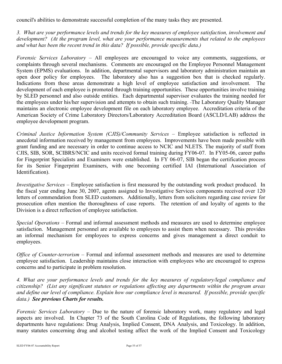council's abilities to demonstrate successful completion of the many tasks they are presented.

*3. What are your performance levels and trends for the key measures of employee satisfaction, involvement and development? (At the program level, what are your performance measurements that related to the employees and what has been the recent trend in this data? If possible, provide specific data.)* 

*Forensic Services Laboratory –* All employees are encouraged to voice any comments, suggestions, or complaints through several mechanisms. Comments are encouraged on the Employee Personnel Management System (EPMS) evaluations. In addition, departmental supervisors and laboratory administration maintain an open door policy for employees. The laboratory also has a suggestion box that is checked regularly. Indications from these areas demonstrate a high level of employee satisfaction and involvement. The development of each employee is promoted through training opportunities. These opportunities involve training by SLED personnel and also outside entities. Each departmental supervisor evaluates the training needed for the employees under his/her supervision and attempts to obtain such training. The Laboratory Quality Manager maintains an electronic employee development file on each laboratory employee. Accreditation criteria of the American Society of Crime Laboratory Directors/Laboratory Accreditation Board (ASCLD/LAB) address the employee development program.

*Criminal Justice Information System (CJIS)/Community Services – Employee satisfaction is reflected in* anecdotal information received by management from employees. Improvements have been made possible with grant funding and are necessary in order to continue access to NCIC and NLETS. The majority of staff from CJIS, SIB, SOR, SCIBRS/NCIC and units received formal training during FY06-07. In FY05-06, career paths for Fingerprint Specialists and Examiners were established. In FY 06-07, SIB began the certification process for its Senior Fingerprint Examiners, with one becoming certified IAI (International Association of Identification).

*Investigative Services – Employee satisfaction is first measured by the outstanding work product produced. In* the fiscal year ending June 30, 2007, agents assigned to Investigative Services components received over 120 letters of commendation from SLED customers. Additionally, letters from solicitors regarding case review for prosecution often mention the thoroughness of case reports. The retention of and loyalty of agents to the Division is a direct reflection of employee satisfaction.

*Special Operations* – Formal and informal assessment methods and measures are used to determine employee satisfaction. Management personnel are available to employees to assist them when necessary. This provides an informal mechanism for employees to express concerns and gives management a direct conduit to employees.

*Office of Counter-terrorism – Formal and informal assessment methods and measures are used to determine* employee satisfaction. Leadership maintains close interaction with employees who are encouraged to express concerns and to participate in problem resolution.

*4. What are your performance levels and trends for the key measures of regulatory/legal compliance and citizenship? (List any significant statutes or regulations affecting any departments within the program areas and define our level of compliance. Explain how our compliance level is measured. If possible, provide specific data.) See previous Charts for results.* 

*Forensic Services Laboratory – Due to the nature of forensic laboratory work, many regulatory and legal* aspects are involved. In Chapter 73 of the South Carolina Code of Regulations, the following laboratory departments have regulations: Drug Analysis, Implied Consent, DNA Analysis, and Toxicology. In addition, many statutes concerning drug and alcohol testing affect the work of the Implied Consent and Toxicology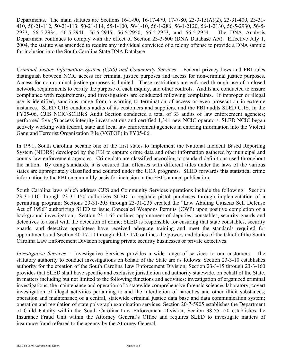Departments. The main statutes are Sections 16-1-90, 16-17-470, 17-7-80, 23-3-15(A)(2), 23-31-400, 23-31- 410, 50-21-112, 50-21-113, 50-21-114, 55-1-100, 56-1-10, 56-1-286, 56-1-2120, 56-1-2130, 56-5-2930, 56-5- 2933, 56-5-2934, 56-5-2941, 56-5-2945, 56-5-2950, 56-5-2953, and 56-5-2954. The DNA Analysis Department continues to comply with the effect of Section 23-3-600 (DNA Database Act). Effective July 1, 2004, the statute was amended to require any individual convicted of a felony offense to provide a DNA sample for inclusion into the South Carolina State DNA Database.

*Criminal Justice Information System (CJIS) and Community Services – Federal privacy laws and FBI rules* distinguish between NCIC access for criminal justice purposes and access for non-criminal justice purposes. Access for non-criminal justice purposes is limited. These restrictions are enforced through use of a closed network, requirements to certify the purpose of each inquiry, and other controls. Audits are conducted to ensure compliance with requirements, and investigations are conducted following complaints. If improper or illegal use is identified, sanctions range from a warning to termination of access or even prosecution in extreme instances. SLED CJIS conducts audits of its customers and suppliers, and the FBI audits SLED CJIS. In the FY05-06, CJIS NCIC/SCIBRS Audit Section conducted a total of 33 audits of law enforcement agencies; performed five (5) access integrity investigations and certified 1,341 new NCIC operators. SLED NCIC began actively working with federal, state and local law enforcement agencies in entering information into the Violent Gang and Terrorist Organization File (VGTOF) in FY05-06.

In 1991, South Carolina became one of the first states to implement the National Incident Based Reporting System (NIBRS) developed by the FBI to capture crime data and other information gathered by municipal and county law enforcement agencies. Crime data are classified according to standard definitions used throughout the nation. By using standards, it is ensured that offenses with different titles under the laws of the various states are appropriately classified and counted under the UCR programs. SLED forwards this statistical crime information to the FBI on a monthly basis for inclusion in the FBI's annual publication.

South Carolina laws which address CJIS and Community Services operations include the following: Section 23-31-110 through 23-31-150 authorizes SLED to regulate pistol purchases through implementation of a permitting program; Sections 23-31-205 through 23-31-235 created the "Law Abiding Citizens Self Defense Act of 1996" authorizing SLED to issue Concealed Weapons Permits (CWP) upon positive completion of a background investigation; Section 23-1-65 outlines appointment of deputies, constables, security guards and detectives to assist with the detection of crime; SLED is responsible for ensuring that state constables, security guards, and detective appointees have received adequate training and meet the standards required for appointment; and Section 40-17-10 through 40-17-170 outlines the powers and duties of the Chief of the South Carolina Law Enforcement Division regarding private security businesses or private detectives.

*Investigative Services* – Investigative Services provides a wide range of services to our customers. The statutory authority to conduct investigations on behalf of the State are as follows: Section 23-3-10 establishes authority for the creation of the South Carolina Law Enforcement Division; Section 23-3-15 through 23-3-160 provides that SLED shall have specific and exclusive jurisdiction and authority statewide, on behalf of the State, in matters including but not limited to the following functions and activities: investigation of organized criminal investigations, the maintenance and operation of a statewide comprehensive forensic sciences laboratory; covert investigation of illegal activities pertaining to and the interdiction of narcotics and other illicit substances; operation and maintenance of a central, statewide criminal justice data base and data communication system; operation and regulation of state polygraph examination services; Section 20-7-5905 establishes the Department of Child Fatality within the South Carolina Law Enforcement Division; Section 38-55-550 establishes the Insurance Fraud Unit within the Attorney General's Office and requires SLED to investigate matters of insurance fraud referred to the agency by the Attorney General.